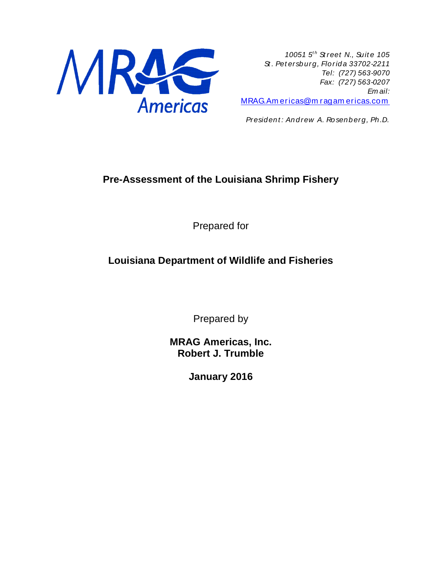

*10051 5t h St reet N., Suit e 105 St . Pet ersburg, Florida 33702-2211 Tel: (727) 563-9070 Fax: (727) 563-0207 Em ail:*  [MRAG.Am ericas@m ragam ericas.com](mailto:MRAG.Americas@mragamericas.com)

*President : Andrew A. Rosenberg, Ph.D.*

# **Pre-Assessment of the Louisiana Shrimp Fishery**

Prepared for

# **Louisiana Department of Wildlife and Fisheries**

Prepared by

**MRAG Americas, Inc. Robert J. Trumble**

**January 2016**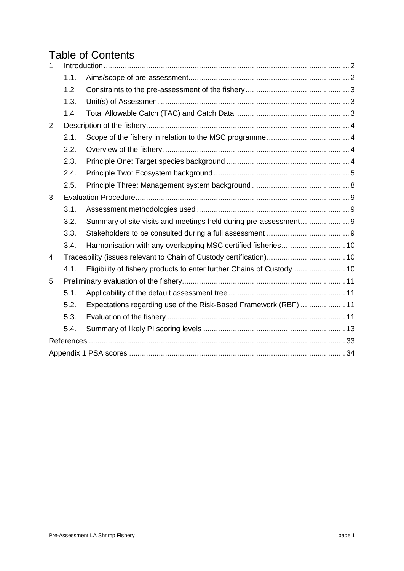# Table of Contents

| 1. |      |                                                                  |  |
|----|------|------------------------------------------------------------------|--|
|    | 1.1. |                                                                  |  |
|    | 1.2  |                                                                  |  |
|    | 1.3. |                                                                  |  |
|    | 1.4  |                                                                  |  |
| 2. |      |                                                                  |  |
|    | 2.1. |                                                                  |  |
|    | 2.2. |                                                                  |  |
|    | 2.3. |                                                                  |  |
|    | 2.4. |                                                                  |  |
|    | 2.5. |                                                                  |  |
| 3. |      |                                                                  |  |
|    | 3.1. |                                                                  |  |
|    | 3.2. |                                                                  |  |
|    | 3.3. |                                                                  |  |
|    | 3.4. | Harmonisation with any overlapping MSC certified fisheries 10    |  |
| 4. |      |                                                                  |  |
|    | 4.1. |                                                                  |  |
| 5. |      |                                                                  |  |
|    | 5.1. |                                                                  |  |
|    | 5.2. | Expectations regarding use of the Risk-Based Framework (RBF)  11 |  |
|    | 5.3. |                                                                  |  |
|    | 5.4. |                                                                  |  |
|    |      |                                                                  |  |
|    |      |                                                                  |  |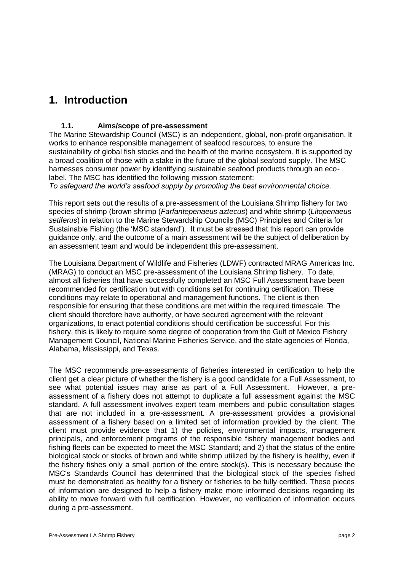# <span id="page-2-0"></span>**1. Introduction**

# <span id="page-2-1"></span>**1.1. Aims/scope of pre-assessment**

The Marine Stewardship Council (MSC) is an independent, global, non-profit organisation. It works to enhance responsible management of seafood resources, to ensure the sustainability of global fish stocks and the health of the marine ecosystem. It is supported by a broad coalition of those with a stake in the future of the global seafood supply. The MSC harnesses consumer power by identifying sustainable seafood products through an ecolabel. The MSC has identified the following mission statement:

*To safeguard the world's seafood supply by promoting the best environmental choice.*

This report sets out the results of a pre-assessment of the Louisiana Shrimp fishery for two species of shrimp (brown shrimp (*Farfantepenaeus aztecus*) and white shrimp (*Litopenaeus setiferus*) in relation to the Marine Stewardship Councils (MSC) Principles and Criteria for Sustainable Fishing (the 'MSC standard'). It must be stressed that this report can provide guidance only, and the outcome of a main assessment will be the subject of deliberation by an assessment team and would be independent this pre-assessment.

The Louisiana Department of Wildlife and Fisheries (LDWF) contracted MRAG Americas Inc. (MRAG) to conduct an MSC pre-assessment of the Louisiana Shrimp fishery. To date, almost all fisheries that have successfully completed an MSC Full Assessment have been recommended for certification but with conditions set for continuing certification. These conditions may relate to operational and management functions. The client is then responsible for ensuring that these conditions are met within the required timescale. The client should therefore have authority, or have secured agreement with the relevant organizations, to enact potential conditions should certification be successful. For this fishery, this is likely to require some degree of cooperation from the Gulf of Mexico Fishery Management Council, National Marine Fisheries Service, and the state agencies of Florida, Alabama, Mississippi, and Texas.

The MSC recommends pre-assessments of fisheries interested in certification to help the client get a clear picture of whether the fishery is a good candidate for a Full Assessment, to see what potential issues may arise as part of a Full Assessment. However, a preassessment of a fishery does not attempt to duplicate a full assessment against the MSC standard. A full assessment involves expert team members and public consultation stages that are not included in a pre-assessment. A pre-assessment provides a provisional assessment of a fishery based on a limited set of information provided by the client. The client must provide evidence that 1) the policies, environmental impacts, management principals, and enforcement programs of the responsible fishery management bodies and fishing fleets can be expected to meet the MSC Standard; and 2) that the status of the entire biological stock or stocks of brown and white shrimp utilized by the fishery is healthy, even if the fishery fishes only a small portion of the entire stock(s). This is necessary because the MSC's Standards Council has determined that the biological stock of the species fished must be demonstrated as healthy for a fishery or fisheries to be fully certified. These pieces of information are designed to help a fishery make more informed decisions regarding its ability to move forward with full certification. However, no verification of information occurs during a pre-assessment.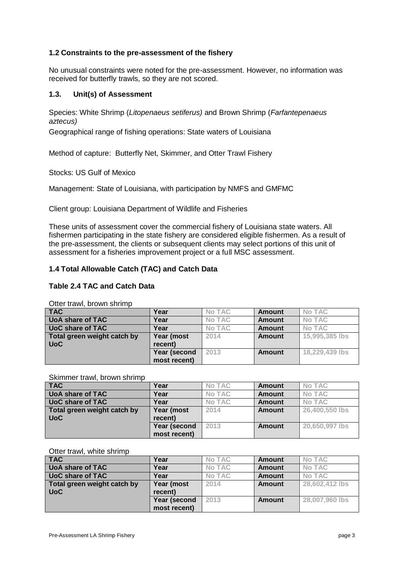### <span id="page-3-0"></span>**1.2 Constraints to the pre-assessment of the fishery**

No unusual constraints were noted for the pre-assessment. However, no information was received for butterfly trawls, so they are not scored.

### <span id="page-3-1"></span>**1.3. Unit(s) of Assessment**

Species: White Shrimp (*Litopenaeus setiferus)* and Brown Shrimp (*Farfantepenaeus aztecus)*

Geographical range of fishing operations: State waters of Louisiana

Method of capture: Butterfly Net, Skimmer, and Otter Trawl Fishery

Stocks: US Gulf of Mexico

Management: State of Louisiana, with participation by NMFS and GMFMC

Client group: Louisiana Department of Wildlife and Fisheries

These units of assessment cover the commercial fishery of Louisiana state waters. All fishermen participating in the state fishery are considered eligible fishermen. As a result of the pre-assessment, the clients or subsequent clients may select portions of this unit of assessment for a fisheries improvement project or a full MSC assessment.

### <span id="page-3-2"></span>**1.4 Total Allowable Catch (TAC) and Catch Data**

#### **Table 2.4 TAC and Catch Data**

Otter trawl, brown shrimp

| <b>TAC</b>                  | Year         | <b>No TAC</b> | <b>Amount</b> | No TAC         |
|-----------------------------|--------------|---------------|---------------|----------------|
|                             |              |               |               |                |
| <b>UoA share of TAC</b>     | Year         | <b>No TAC</b> | <b>Amount</b> | No TAC         |
| <b>UoC share of TAC</b>     | Year         | No TAC        | <b>Amount</b> | No TAC         |
| Total green weight catch by | Year (most   | 2014          | <b>Amount</b> | 15,995,385 lbs |
| <b>UoC</b>                  | recent)      |               |               |                |
|                             | Year (second | 2013          | <b>Amount</b> | 18,229,439 lbs |
|                             | most recent) |               |               |                |

Skimmer trawl, brown shrimp

| <b>TAC</b>                  | Year         | <b>No TAC</b> | <b>Amount</b> | No TAC         |
|-----------------------------|--------------|---------------|---------------|----------------|
| <b>UoA share of TAC</b>     | Year         | <b>No TAC</b> | <b>Amount</b> | <b>No TAC</b>  |
| <b>UoC share of TAC</b>     | Year         | <b>No TAC</b> | <b>Amount</b> | <b>No TAC</b>  |
| Total green weight catch by | Year (most   | 2014          | <b>Amount</b> | 26,400,550 lbs |
| <b>UoC</b>                  | recent)      |               |               |                |
|                             | Year (second | 2013          | Amount        | 20,650,997 lbs |
|                             | most recent) |               |               |                |

Otter trawl, white shrimp

| <b>TAC</b>                  | Year         | <b>No TAC</b> | <b>Amount</b> | <b>No TAC</b>  |
|-----------------------------|--------------|---------------|---------------|----------------|
| <b>UoA share of TAC</b>     | Year         | No TAC        | <b>Amount</b> | <b>No TAC</b>  |
| <b>UoC share of TAC</b>     | Year         | <b>No TAC</b> | <b>Amount</b> | No TAC         |
| Total green weight catch by | Year (most   | 2014          | <b>Amount</b> | 28,602,412 lbs |
| <b>UoC</b>                  | recent)      |               |               |                |
|                             | Year (second | 2013          | <b>Amount</b> | 28,007,960 lbs |
|                             | most recent) |               |               |                |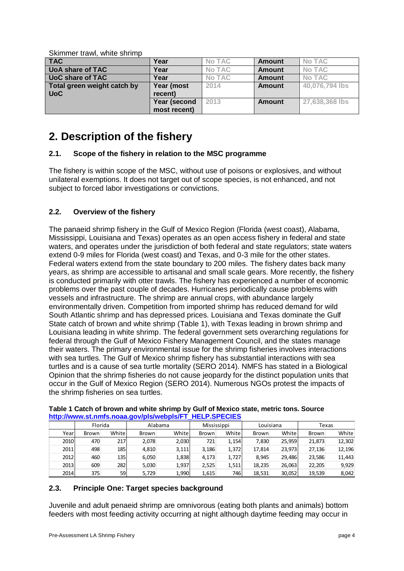Skimmer trawl, white shrimp

| <b>TAC</b>                  | Year         | <b>No TAC</b> | <b>Amount</b> | No TAC         |
|-----------------------------|--------------|---------------|---------------|----------------|
| <b>UoA share of TAC</b>     | Year         | <b>No TAC</b> | <b>Amount</b> | No TAC         |
| <b>UoC share of TAC</b>     | Year         | <b>No TAC</b> | <b>Amount</b> | <b>No TAC</b>  |
| Total green weight catch by | Year (most   | 2014          | <b>Amount</b> | 40,076,794 lbs |
| <b>UoC</b>                  | recent)      |               |               |                |
|                             | Year (second | 2013          | <b>Amount</b> | 27,638,368 lbs |
|                             | most recent) |               |               |                |

# <span id="page-4-0"></span>**2. Description of the fishery**

# <span id="page-4-1"></span>**2.1. Scope of the fishery in relation to the MSC programme**

The fishery is within scope of the MSC, without use of poisons or explosives, and without unilateral exemptions. It does not target out of scope species, is not enhanced, and not subject to forced labor investigations or convictions.

# <span id="page-4-2"></span>**2.2. Overview of the fishery**

The panaeid shrimp fishery in the Gulf of Mexico Region (Florida (west coast), Alabama, Mississippi, Louisiana and Texas) operates as an open access fishery in federal and state waters, and operates under the jurisdiction of both federal and state regulators; state waters extend 0-9 miles for Florida (west coast) and Texas, and 0-3 mile for the other states. Federal waters extend from the state boundary to 200 miles. The fishery dates back many years, as shrimp are accessible to artisanal and small scale gears. More recently, the fishery is conducted primarily with otter trawls. The fishery has experienced a number of economic problems over the past couple of decades. Hurricanes periodically cause problems with vessels and infrastructure. The shrimp are annual crops, with abundance largely environmentally driven. Competition from imported shrimp has reduced demand for wild South Atlantic shrimp and has depressed prices. Louisiana and Texas dominate the Gulf State catch of brown and white shrimp [\(Table 1\)](#page-4-4), with Texas leading in brown shrimp and Louisiana leading in white shrimp. The federal government sets overarching regulations for federal through the Gulf of Mexico Fishery Management Council, and the states manage their waters. The primary environmental issue for the shrimp fisheries involves interactions with sea turtles. The Gulf of Mexico shrimp fishery has substantial interactions with sea turtles and is a cause of sea turtle mortality (SERO 2014). NMFS has stated in a Biological Opinion that the shrimp fisheries do not cause jeopardy for the distinct population units that occur in the Gulf of Mexico Region (SERO 2014). Numerous NGOs protest the impacts of the shrimp fisheries on sea turtles.

|      | Florida<br>Alabama |                  | Mississippi |       |       | Louisiana | Texas        |        |        |        |  |  |
|------|--------------------|------------------|-------------|-------|-------|-----------|--------------|--------|--------|--------|--|--|
| Year | Brown              | White            | Brown       | White | Brown | White     | <b>Brown</b> | White  | Brown  | White  |  |  |
| 2010 | 470                | 217              | 2,078       | 2,030 | 721   | 1,154     | 7.830        | 25.959 | 21.873 | 12,302 |  |  |
| 2011 | 498                | 185 <sup> </sup> | 4,810       | 3,111 | 3,186 | 1,372     | 17.814       | 23,973 | 27,136 | 12,196 |  |  |
| 2012 | 460                | 135l             | 6,050       | 1,838 | 4,173 | 1,727     | 8.945        | 29.486 | 23.586 | 11,443 |  |  |
| 2013 | 609                | 2821             | 5,030       | 1,937 | 2,525 | 1,511     | 18,235       | 26,063 | 22.205 | 9.929  |  |  |
| 2014 | 375                | 59               | 5,729       | 1,990 | 1,615 | 746l      | 18,531       | 30,052 | 19,539 | 8,042  |  |  |

#### <span id="page-4-4"></span>**Table 1 Catch of brown and white shrimp by Gulf of Mexico state, metric tons. Source [http://www.st.nmfs.noaa.gov/pls/webpls/FT\\_HELP.SPECIES](http://www.st.nmfs.noaa.gov/pls/webpls/FT_HELP.SPECIES)**

# <span id="page-4-3"></span>**2.3. Principle One: Target species background**

Juvenile and adult penaeid shrimp are omnivorous (eating both plants and animals) bottom feeders with most feeding activity occurring at night although daytime feeding may occur in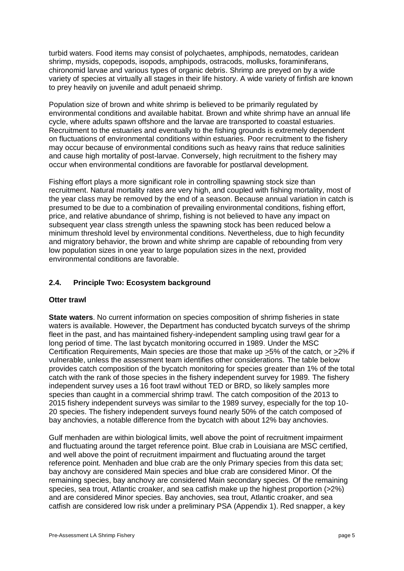turbid waters. Food items may consist of polychaetes, amphipods, nematodes, caridean shrimp, mysids, copepods, isopods, amphipods, ostracods, mollusks, foraminiferans, chironomid larvae and various types of organic debris. Shrimp are preyed on by a wide variety of species at virtually all stages in their life history. A wide variety of finfish are known to prey heavily on juvenile and adult penaeid shrimp.

Population size of brown and white shrimp is believed to be primarily regulated by environmental conditions and available habitat. Brown and white shrimp have an annual life cycle, where adults spawn offshore and the larvae are transported to coastal estuaries. Recruitment to the estuaries and eventually to the fishing grounds is extremely dependent on fluctuations of environmental conditions within estuaries. Poor recruitment to the fishery may occur because of environmental conditions such as heavy rains that reduce salinities and cause high mortality of post-larvae. Conversely, high recruitment to the fishery may occur when environmental conditions are favorable for postlarval development.

Fishing effort plays a more significant role in controlling spawning stock size than recruitment. Natural mortality rates are very high, and coupled with fishing mortality, most of the year class may be removed by the end of a season. Because annual variation in catch is presumed to be due to a combination of prevailing environmental conditions, fishing effort, price, and relative abundance of shrimp, fishing is not believed to have any impact on subsequent year class strength unless the spawning stock has been reduced below a minimum threshold level by environmental conditions. Nevertheless, due to high fecundity and migratory behavior, the brown and white shrimp are capable of rebounding from very low population sizes in one year to large population sizes in the next, provided environmental conditions are favorable.

### <span id="page-5-0"></span>**2.4. Principle Two: Ecosystem background**

### **Otter trawl**

**State waters**. No current information on species composition of shrimp fisheries in state waters is available. However, the Department has conducted bycatch surveys of the shrimp fleet in the past, and has maintained fishery-independent sampling using trawl gear for a long period of time. The last bycatch monitoring occurred in 1989. Under the MSC Certification Requirements, Main species are those that make up >5% of the catch, or >2% if vulnerable, unless the assessment team identifies other considerations. The table below provides catch composition of the bycatch monitoring for species greater than 1% of the total catch with the rank of those species in the fishery independent survey for 1989. The fishery independent survey uses a 16 foot trawl without TED or BRD, so likely samples more species than caught in a commercial shrimp trawl. The catch composition of the 2013 to 2015 fishery independent surveys was similar to the 1989 survey, especially for the top 10- 20 species. The fishery independent surveys found nearly 50% of the catch composed of bay anchovies, a notable difference from the bycatch with about 12% bay anchovies.

Gulf menhaden are within biological limits, well above the point of recruitment impairment and fluctuating around the target reference point. Blue crab in Louisiana are MSC certified, and well above the point of recruitment impairment and fluctuating around the target reference point. Menhaden and blue crab are the only Primary species from this data set; bay anchovy are considered Main species and blue crab are considered Minor. Of the remaining species, bay anchovy are considered Main secondary species. Of the remaining species, sea trout, Atlantic croaker, and sea catfish make up the highest proportion (>2%) and are considered Minor species. Bay anchovies, sea trout, Atlantic croaker, and sea catfish are considered low risk under a preliminary PSA (Appendix 1). Red snapper, a key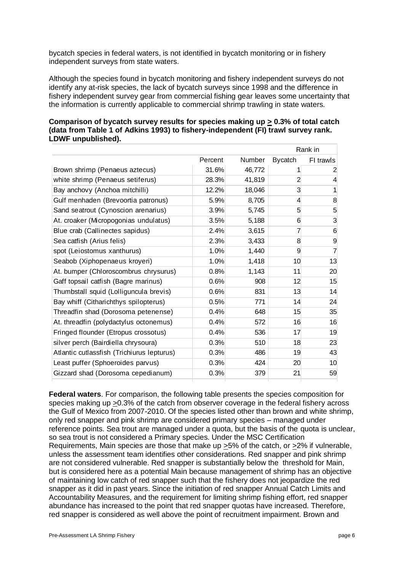bycatch species in federal waters, is not identified in bycatch monitoring or in fishery independent surveys from state waters.

Although the species found in bycatch monitoring and fishery independent surveys do not identify any at-risk species, the lack of bycatch surveys since 1998 and the difference in fishery independent survey gear from commercial fishing gear leaves some uncertainty that the information is currently applicable to commercial shrimp trawling in state waters.

| (data from Table 1 of Adkins 1993) to fishery-independent (FI) trawl survey rank.<br>LDWF unpublished). |         |        |                |           |  |  |  |  |
|---------------------------------------------------------------------------------------------------------|---------|--------|----------------|-----------|--|--|--|--|
|                                                                                                         |         |        |                | Rank in   |  |  |  |  |
|                                                                                                         | Percent | Number | <b>Bycatch</b> | FI trawls |  |  |  |  |
| Brown shrimp (Penaeus aztecus)                                                                          | 31.6%   | 46,772 |                |           |  |  |  |  |
| white shrimp (Penaeus setiferus)                                                                        | 28.3%   | 41,819 |                |           |  |  |  |  |

Bay anchovy (Anchoa mitchilli)  $12.2\%$  18,046 3 1 Gulf menhaden (Brevoortia patronus)  $\begin{array}{ccc} 5.9\% & 8.705 & 4 \end{array}$ Sand seatrout (Cynoscion arenarius)  $3.9\%$  5,745 5 5 At. croaker (Micropogonias undulatus)  $\begin{array}{ccc} 3.5\% & 5.188 & 6 \end{array}$ 

# **Comparison of bycatch survey results for species making up > 0.3% of total catch (data from Table 1 of Adkins 1993) to fishery-independent (FI) trawl survey rank. LDWF unpublished).**

| Blue crab (Callinectes sapidus)            | 2.4% | 3,615 |    | 6  |
|--------------------------------------------|------|-------|----|----|
| Sea catfish (Arius felis)                  | 2.3% | 3,433 | 8  | 9  |
| spot (Leiostomus xanthurus)                | 1.0% | 1,440 | 9  |    |
| Seabob (Xiphopenaeus kroyeri)              | 1.0% | 1,418 | 10 | 13 |
| At. bumper (Chloroscombrus chrysurus)      | 0.8% | 1,143 | 11 | 20 |
| Gaff topsail catfish (Bagre marinus)       | 0.6% | 908   | 12 | 15 |
| Thumbstall squid (Lolliguncula brevis)     | 0.6% | 831   | 13 | 14 |
| Bay whiff (Citharichthys spilopterus)      | 0.5% | 771   | 14 | 24 |
| Threadfin shad (Dorosoma petenense)        | 0.4% | 648   | 15 | 35 |
| At. threadfin (polydactylus octonemus)     | 0.4% | 572   | 16 | 16 |
| Fringed flounder (Etropus crossotus)       | 0.4% | 536   | 17 | 19 |
| silver perch (Bairdiella chrysoura)        | 0.3% | 510   | 18 | 23 |
| Atlantic cutlassfish (Trichiurus lepturus) | 0.3% | 486   | 19 | 43 |
| Least puffer (Sphoeroides parvus)          | 0.3% | 424   | 20 | 10 |
| Gizzard shad (Dorosoma cepedianum)         | 0.3% | 379   | 21 | 59 |

**Federal waters**. For comparison, the following table presents the species composition for species making up >0.3% of the catch from observer coverage in the federal fishery across the Gulf of Mexico from 2007-2010. Of the species listed other than brown and white shrimp, only red snapper and pink shrimp are considered primary species – managed under reference points. Sea trout are managed under a quota, but the basis of the quota is unclear, so sea trout is not considered a Primary species. Under the MSC Certification Requirements, Main species are those that make up >5% of the catch, or >2% if vulnerable, unless the assessment team identifies other considerations. Red snapper and pink shrimp are not considered vulnerable. Red snapper is substantially below the threshold for Main, but is considered here as a potential Main because management of shrimp has an objective of maintaining low catch of red snapper such that the fishery does not jeopardize the red snapper as it did in past years. Since the initiation of red snapper Annual Catch Limits and Accountability Measures, and the requirement for limiting shrimp fishing effort, red snapper abundance has increased to the point that red snapper quotas have increased. Therefore, red snapper is considered as well above the point of recruitment impairment. Brown and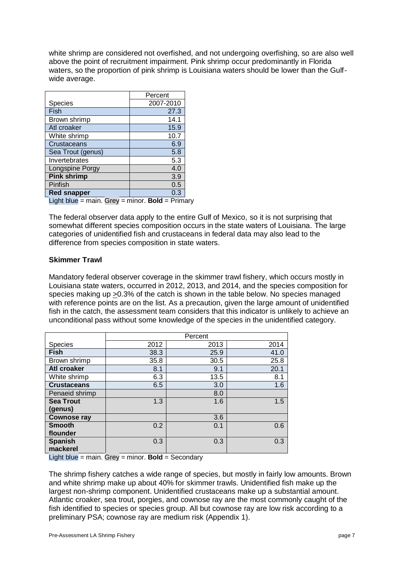white shrimp are considered not overfished, and not undergoing overfishing, so are also well above the point of recruitment impairment. Pink shrimp occur predominantly in Florida waters, so the proportion of pink shrimp is Louisiana waters should be lower than the Gulfwide average.

|                                                 | Percent   |  |  |  |  |  |  |
|-------------------------------------------------|-----------|--|--|--|--|--|--|
| <b>Species</b>                                  | 2007-2010 |  |  |  |  |  |  |
| Fish                                            | 27.3      |  |  |  |  |  |  |
| Brown shrimp                                    | 14.1      |  |  |  |  |  |  |
| Atl croaker                                     | 15.9      |  |  |  |  |  |  |
| White shrimp                                    | 10.7      |  |  |  |  |  |  |
| Crustaceans                                     | 6.9       |  |  |  |  |  |  |
| Sea Trout (genus)                               | 5.8       |  |  |  |  |  |  |
| Invertebrates                                   | 5.3       |  |  |  |  |  |  |
| Longspine Porgy                                 | 4.0       |  |  |  |  |  |  |
| <b>Pink shrimp</b>                              | 3.9       |  |  |  |  |  |  |
| Pinfish                                         | 0.5       |  |  |  |  |  |  |
| <b>Red snapper</b>                              | 0.3       |  |  |  |  |  |  |
| Light blue = main. Grey = minor. Bold = Primary |           |  |  |  |  |  |  |

The federal observer data apply to the entire Gulf of Mexico, so it is not surprising that somewhat different species composition occurs in the state waters of Louisiana. The large categories of unidentified fish and crustaceans in federal data may also lead to the difference from species composition in state waters.

### **Skimmer Trawl**

Mandatory federal observer coverage in the skimmer trawl fishery, which occurs mostly in Louisiana state waters, occurred in 2012, 2013, and 2014, and the species composition for species making up >0.3% of the catch is shown in the table below. No species managed with reference points are on the list. As a precaution, given the large amount of unidentified fish in the catch, the assessment team considers that this indicator is unlikely to achieve an unconditional pass without some knowledge of the species in the unidentified category.

|                            | Percent |      |      |  |  |  |  |  |
|----------------------------|---------|------|------|--|--|--|--|--|
| Species                    | 2012    | 2013 | 2014 |  |  |  |  |  |
| <b>Fish</b>                | 38.3    | 25.9 | 41.0 |  |  |  |  |  |
| Brown shrimp               | 35.8    | 30.5 | 25.8 |  |  |  |  |  |
| Atl croaker                | 8.1     | 9.1  | 20.1 |  |  |  |  |  |
| White shrimp               | 6.3     | 13.5 | 8.1  |  |  |  |  |  |
| <b>Crustaceans</b>         | 6.5     | 3.0  | 1.6  |  |  |  |  |  |
| Penaeid shrimp             |         | 8.0  |      |  |  |  |  |  |
| <b>Sea Trout</b>           | 1.3     | 1.6  | 1.5  |  |  |  |  |  |
| (genus)                    |         |      |      |  |  |  |  |  |
| <b>Cownose ray</b>         |         | 3.6  |      |  |  |  |  |  |
| <b>Smooth</b>              | 0.2     | 0.1  | 0.6  |  |  |  |  |  |
| flounder                   |         |      |      |  |  |  |  |  |
| <b>Spanish</b><br>mackerel | 0.3     | 0.3  | 0.3  |  |  |  |  |  |

Light blue = main. Grey = minor. **Bold** = Secondary

The shrimp fishery catches a wide range of species, but mostly in fairly low amounts. Brown and white shrimp make up about 40% for skimmer trawls. Unidentified fish make up the largest non-shrimp component. Unidentified crustaceans make up a substantial amount. Atlantic croaker, sea trout, porgies, and cownose ray are the most commonly caught of the fish identified to species or species group. All but cownose ray are low risk according to a preliminary PSA; cownose ray are medium risk (Appendix 1).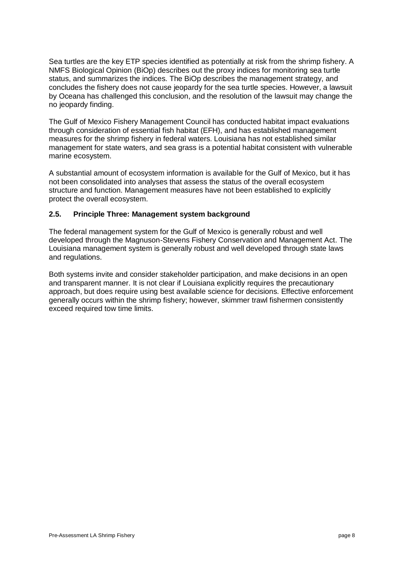Sea turtles are the key ETP species identified as potentially at risk from the shrimp fishery. A NMFS Biological Opinion (BiOp) describes out the proxy indices for monitoring sea turtle status, and summarizes the indices. The BiOp describes the management strategy, and concludes the fishery does not cause jeopardy for the sea turtle species. However, a lawsuit by Oceana has challenged this conclusion, and the resolution of the lawsuit may change the no jeopardy finding.

The Gulf of Mexico Fishery Management Council has conducted habitat impact evaluations through consideration of essential fish habitat (EFH), and has established management measures for the shrimp fishery in federal waters. Louisiana has not established similar management for state waters, and sea grass is a potential habitat consistent with vulnerable marine ecosystem.

A substantial amount of ecosystem information is available for the Gulf of Mexico, but it has not been consolidated into analyses that assess the status of the overall ecosystem structure and function. Management measures have not been established to explicitly protect the overall ecosystem.

### <span id="page-8-0"></span>**2.5. Principle Three: Management system background**

The federal management system for the Gulf of Mexico is generally robust and well developed through the Magnuson-Stevens Fishery Conservation and Management Act. The Louisiana management system is generally robust and well developed through state laws and regulations.

Both systems invite and consider stakeholder participation, and make decisions in an open and transparent manner. It is not clear if Louisiana explicitly requires the precautionary approach, but does require using best available science for decisions. Effective enforcement generally occurs within the shrimp fishery; however, skimmer trawl fishermen consistently exceed required tow time limits.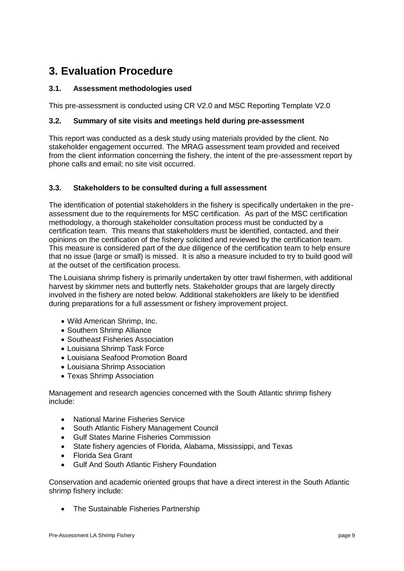# <span id="page-9-0"></span>**3. Evaluation Procedure**

# <span id="page-9-1"></span>**3.1. Assessment methodologies used**

This pre-assessment is conducted using CR V2.0 and MSC Reporting Template V2.0

# <span id="page-9-2"></span>**3.2. Summary of site visits and meetings held during pre-assessment**

This report was conducted as a desk study using materials provided by the client. No stakeholder engagement occurred. The MRAG assessment team provided and received from the client information concerning the fishery, the intent of the pre-assessment report by phone calls and email; no site visit occurred.

### <span id="page-9-3"></span>**3.3. Stakeholders to be consulted during a full assessment**

The identification of potential stakeholders in the fishery is specifically undertaken in the preassessment due to the requirements for MSC certification. As part of the MSC certification methodology, a thorough stakeholder consultation process must be conducted by a certification team. This means that stakeholders must be identified, contacted, and their opinions on the certification of the fishery solicited and reviewed by the certification team. This measure is considered part of the due diligence of the certification team to help ensure that no issue (large or small) is missed. It is also a measure included to try to build good will at the outset of the certification process.

The Louisiana shrimp fishery is primarily undertaken by otter trawl fishermen, with additional harvest by skimmer nets and butterfly nets. Stakeholder groups that are largely directly involved in the fishery are noted below. Additional stakeholders are likely to be identified during preparations for a full assessment or fishery improvement project.

- Wild American Shrimp, Inc.
- Southern Shrimp Alliance
- Southeast Fisheries Association
- Louisiana Shrimp Task Force
- Louisiana Seafood Promotion Board
- Louisiana Shrimp Association
- Texas Shrimp Association

Management and research agencies concerned with the South Atlantic shrimp fishery include:

- National Marine Fisheries Service
- South Atlantic Fishery Management Council
- Gulf States Marine Fisheries Commission
- State fishery agencies of Florida, Alabama, Mississippi, and Texas
- Florida Sea Grant
- Gulf And South Atlantic Fishery Foundation

Conservation and academic oriented groups that have a direct interest in the South Atlantic shrimp fishery include:

• The Sustainable Fisheries Partnership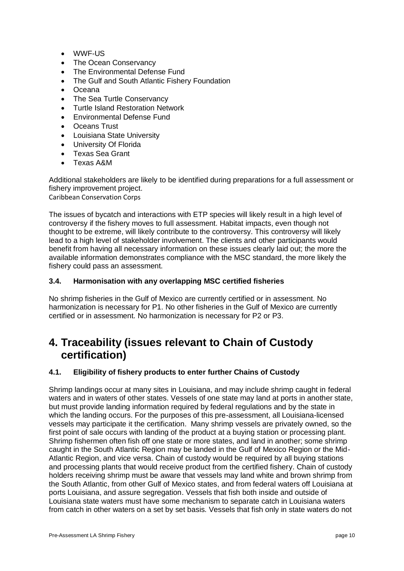- WWF-US
- The Ocean Conservancy
- The Environmental Defense Fund
- The Gulf and South Atlantic Fishery Foundation
- Oceana
- The Sea Turtle Conservancy
- Turtle Island Restoration Network
- Environmental Defense Fund
- **C**Ceans Trust
- Louisiana State University
- University Of Florida
- Texas Sea Grant
- Texas A&M

Additional stakeholders are likely to be identified during preparations for a full assessment or fishery improvement project. Caribbean Conservation Corps

The issues of bycatch and interactions with ETP species will likely result in a high level of controversy if the fishery moves to full assessment. Habitat impacts, even though not thought to be extreme, will likely contribute to the controversy. This controversy will likely lead to a high level of stakeholder involvement. The clients and other participants would benefit from having all necessary information on these issues clearly laid out; the more the available information demonstrates compliance with the MSC standard, the more likely the fishery could pass an assessment.

### <span id="page-10-0"></span>**3.4. Harmonisation with any overlapping MSC certified fisheries**

No shrimp fisheries in the Gulf of Mexico are currently certified or in assessment. No harmonization is necessary for P1. No other fisheries in the Gulf of Mexico are currently certified or in assessment. No harmonization is necessary for P2 or P3.

# <span id="page-10-1"></span>**4. Traceability (issues relevant to Chain of Custody certification)**

# <span id="page-10-2"></span>**4.1. Eligibility of fishery products to enter further Chains of Custody**

Shrimp landings occur at many sites in Louisiana, and may include shrimp caught in federal waters and in waters of other states. Vessels of one state may land at ports in another state, but must provide landing information required by federal regulations and by the state in which the landing occurs. For the purposes of this pre-assessment, all Louisiana-licensed vessels may participate it the certification. Many shrimp vessels are privately owned, so the first point of sale occurs with landing of the product at a buying station or processing plant. Shrimp fishermen often fish off one state or more states, and land in another; some shrimp caught in the South Atlantic Region may be landed in the Gulf of Mexico Region or the Mid-Atlantic Region, and vice versa. Chain of custody would be required by all buying stations and processing plants that would receive product from the certified fishery. Chain of custody holders receiving shrimp must be aware that vessels may land white and brown shrimp from the South Atlantic, from other Gulf of Mexico states, and from federal waters off Louisiana at ports Louisiana, and assure segregation. Vessels that fish both inside and outside of Louisiana state waters must have some mechanism to separate catch in Louisiana waters from catch in other waters on a set by set basis. Vessels that fish only in state waters do not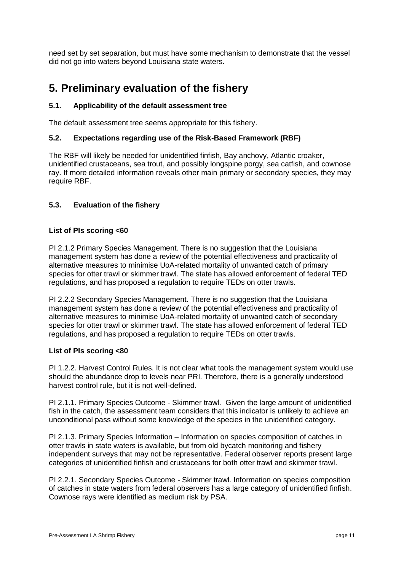need set by set separation, but must have some mechanism to demonstrate that the vessel did not go into waters beyond Louisiana state waters.

# <span id="page-11-0"></span>**5. Preliminary evaluation of the fishery**

# <span id="page-11-1"></span>**5.1. Applicability of the default assessment tree**

The default assessment tree seems appropriate for this fishery.

### <span id="page-11-2"></span>**5.2. Expectations regarding use of the Risk-Based Framework (RBF)**

The RBF will likely be needed for unidentified finfish, Bay anchovy, Atlantic croaker, unidentified crustaceans, sea trout, and possibly longspine porgy, sea catfish, and cownose ray. If more detailed information reveals other main primary or secondary species, they may require RBF.

# <span id="page-11-3"></span>**5.3. Evaluation of the fishery**

#### **List of PIs scoring <60**

PI 2.1.2 Primary Species Management. There is no suggestion that the Louisiana management system has done a review of the potential effectiveness and practicality of alternative measures to minimise UoA-related mortality of unwanted catch of primary species for otter trawl or skimmer trawl. The state has allowed enforcement of federal TED regulations, and has proposed a regulation to require TEDs on otter trawls.

PI 2.2.2 Secondary Species Management. There is no suggestion that the Louisiana management system has done a review of the potential effectiveness and practicality of alternative measures to minimise UoA-related mortality of unwanted catch of secondary species for otter trawl or skimmer trawl. The state has allowed enforcement of federal TED regulations, and has proposed a regulation to require TEDs on otter trawls.

#### **List of PIs scoring <80**

PI 1.2.2. Harvest Control Rules. It is not clear what tools the management system would use should the abundance drop to levels near PRI. Therefore, there is a generally understood harvest control rule, but it is not well-defined.

PI 2.1.1. Primary Species Outcome - Skimmer trawl. Given the large amount of unidentified fish in the catch, the assessment team considers that this indicator is unlikely to achieve an unconditional pass without some knowledge of the species in the unidentified category.

PI 2.1.3. Primary Species Information – Information on species composition of catches in otter trawls in state waters is available, but from old bycatch monitoring and fishery independent surveys that may not be representative. Federal observer reports present large categories of unidentified finfish and crustaceans for both otter trawl and skimmer trawl.

PI 2.2.1. Secondary Species Outcome - Skimmer trawl. Information on species composition of catches in state waters from federal observers has a large category of unidentified finfish. Cownose rays were identified as medium risk by PSA.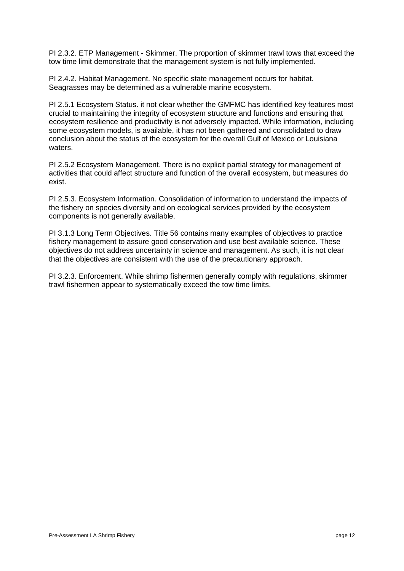PI 2.3.2. ETP Management - Skimmer. The proportion of skimmer trawl tows that exceed the tow time limit demonstrate that the management system is not fully implemented.

PI 2.4.2. Habitat Management. No specific state management occurs for habitat. Seagrasses may be determined as a vulnerable marine ecosystem.

PI 2.5.1 Ecosystem Status. it not clear whether the GMFMC has identified key features most crucial to maintaining the integrity of ecosystem structure and functions and ensuring that ecosystem resilience and productivity is not adversely impacted. While information, including some ecosystem models, is available, it has not been gathered and consolidated to draw conclusion about the status of the ecosystem for the overall Gulf of Mexico or Louisiana waters.

PI 2.5.2 Ecosystem Management. There is no explicit partial strategy for management of activities that could affect structure and function of the overall ecosystem, but measures do exist.

PI 2.5.3. Ecosystem Information. Consolidation of information to understand the impacts of the fishery on species diversity and on ecological services provided by the ecosystem components is not generally available.

PI 3.1.3 Long Term Objectives. Title 56 contains many examples of objectives to practice fishery management to assure good conservation and use best available science. These objectives do not address uncertainty in science and management. As such, it is not clear that the objectives are consistent with the use of the precautionary approach.

PI 3.2.3. Enforcement. While shrimp fishermen generally comply with regulations, skimmer trawl fishermen appear to systematically exceed the tow time limits.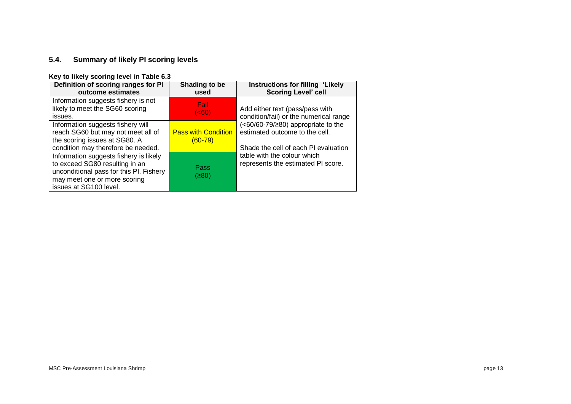# **5.4. Summary of likely PI scoring levels**

#### **Key to likely scoring level in Table 6.3**

<span id="page-13-0"></span>

| Definition of scoring ranges for PI<br>outcome estimates                                                                                                                      | Shading to be<br>used                   | Instructions for filling 'Likely<br><b>Scoring Level' cell</b>                                                    |
|-------------------------------------------------------------------------------------------------------------------------------------------------------------------------------|-----------------------------------------|-------------------------------------------------------------------------------------------------------------------|
| Information suggests fishery is not<br>likely to meet the SG60 scoring<br>issues.                                                                                             | Fail<br>( <b>60</b> )                   | Add either text (pass/pass with<br>condition/fail) or the numerical range                                         |
| Information suggests fishery will<br>reach SG60 but may not meet all of<br>the scoring issues at SG80. A<br>condition may therefore be needed.                                | <b>Pass with Condition</b><br>$(60-79)$ | $(<60/60-79/\\ge80)$ appropriate to the<br>estimated outcome to the cell.<br>Shade the cell of each PI evaluation |
| Information suggests fishery is likely<br>to exceed SG80 resulting in an<br>unconditional pass for this PI. Fishery<br>may meet one or more scoring<br>issues at SG100 level. | Pass<br>(≥80)                           | table with the colour which<br>represents the estimated PI score.                                                 |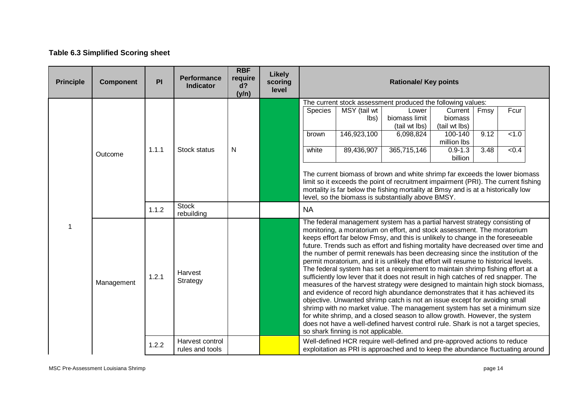# **Table 6.3 Simplified Scoring sheet**

| <b>Principle</b>                    | <b>Component</b> | PI    | <b>Performance</b><br><b>Indicator</b> | <b>RBF</b><br>require<br>d?<br>(y/n) | <b>Likely</b><br>scoring<br>level |                                                                                                                                                                                                   |                                | <b>Rationale/ Key points</b>                                                                                                                                                                                                                                                                                                                                                                                                                                                                                                                                                                                                                                                                                                                                                                                                                                                                                                                                                                                                                                                                                                                                                  |                                     |      |       |  |
|-------------------------------------|------------------|-------|----------------------------------------|--------------------------------------|-----------------------------------|---------------------------------------------------------------------------------------------------------------------------------------------------------------------------------------------------|--------------------------------|-------------------------------------------------------------------------------------------------------------------------------------------------------------------------------------------------------------------------------------------------------------------------------------------------------------------------------------------------------------------------------------------------------------------------------------------------------------------------------------------------------------------------------------------------------------------------------------------------------------------------------------------------------------------------------------------------------------------------------------------------------------------------------------------------------------------------------------------------------------------------------------------------------------------------------------------------------------------------------------------------------------------------------------------------------------------------------------------------------------------------------------------------------------------------------|-------------------------------------|------|-------|--|
|                                     |                  |       |                                        |                                      |                                   |                                                                                                                                                                                                   |                                | The current stock assessment produced the following values:                                                                                                                                                                                                                                                                                                                                                                                                                                                                                                                                                                                                                                                                                                                                                                                                                                                                                                                                                                                                                                                                                                                   |                                     |      |       |  |
|                                     |                  |       |                                        |                                      |                                   | <b>Species</b>                                                                                                                                                                                    | MSY (tail wt<br>$\mathsf{lbs}$ | Lower<br>biomass limit<br>(tail wt lbs)                                                                                                                                                                                                                                                                                                                                                                                                                                                                                                                                                                                                                                                                                                                                                                                                                                                                                                                                                                                                                                                                                                                                       | Current<br>biomass<br>(tail wt lbs) | Fmsy | Fcur  |  |
|                                     |                  |       |                                        |                                      |                                   | brown                                                                                                                                                                                             | 146,923,100                    | 6,098,824                                                                                                                                                                                                                                                                                                                                                                                                                                                                                                                                                                                                                                                                                                                                                                                                                                                                                                                                                                                                                                                                                                                                                                     | 100-140<br>million lbs              | 9.12 | < 1.0 |  |
|                                     | Outcome          | 1.1.1 | Stock status                           | N                                    |                                   | white                                                                                                                                                                                             | 89,436,907                     | 365,715,146                                                                                                                                                                                                                                                                                                                                                                                                                                                                                                                                                                                                                                                                                                                                                                                                                                                                                                                                                                                                                                                                                                                                                                   | $0.9 - 1.3$<br>billion              | 3.48 | < 0.4 |  |
|                                     |                  |       |                                        |                                      |                                   |                                                                                                                                                                                                   |                                | The current biomass of brown and white shrimp far exceeds the lower biomass<br>limit so it exceeds the point of recruitment impairment (PRI). The current fishing<br>mortality is far below the fishing mortality at Bmsy and is at a historically low<br>level, so the biomass is substantially above BMSY.                                                                                                                                                                                                                                                                                                                                                                                                                                                                                                                                                                                                                                                                                                                                                                                                                                                                  |                                     |      |       |  |
| <b>Stock</b><br>1.1.2<br>rebuilding |                  |       |                                        |                                      | <b>NA</b>                         |                                                                                                                                                                                                   |                                |                                                                                                                                                                                                                                                                                                                                                                                                                                                                                                                                                                                                                                                                                                                                                                                                                                                                                                                                                                                                                                                                                                                                                                               |                                     |      |       |  |
|                                     | Management       | 1.2.1 | Harvest<br>Strategy                    |                                      |                                   |                                                                                                                                                                                                   |                                | The federal management system has a partial harvest strategy consisting of<br>monitoring, a moratorium on effort, and stock assessment. The moratorium<br>keeps effort far below Fmsy, and this is unlikely to change in the foreseeable<br>future. Trends such as effort and fishing mortality have decreased over time and<br>the number of permit renewals has been decreasing since the institution of the<br>permit moratorium, and it is unlikely that effort will resume to historical levels.<br>The federal system has set a requirement to maintain shrimp fishing effort at a<br>sufficiently low lever that it does not result in high catches of red snapper. The<br>measures of the harvest strategy were designed to maintain high stock biomass,<br>and evidence of record high abundance demonstrates that it has achieved its<br>objective. Unwanted shrimp catch is not an issue except for avoiding small<br>shrimp with no market value. The management system has set a minimum size<br>for white shrimp, and a closed season to allow growth. However, the system<br>does not have a well-defined harvest control rule. Shark is not a target species, |                                     |      |       |  |
|                                     |                  | 1.2.2 | Harvest control<br>rules and tools     |                                      |                                   | so shark finning is not applicable.<br>Well-defined HCR require well-defined and pre-approved actions to reduce<br>exploitation as PRI is approached and to keep the abundance fluctuating around |                                |                                                                                                                                                                                                                                                                                                                                                                                                                                                                                                                                                                                                                                                                                                                                                                                                                                                                                                                                                                                                                                                                                                                                                                               |                                     |      |       |  |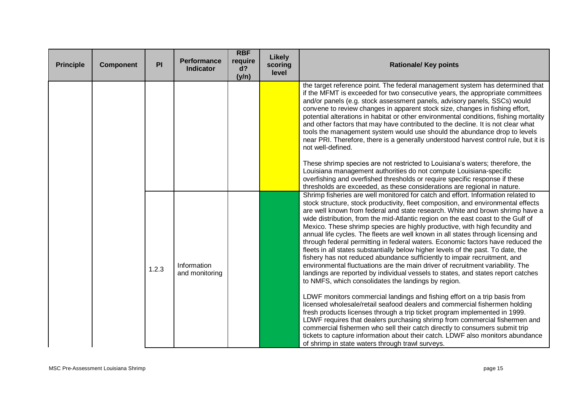| <b>Principle</b> | <b>Component</b> | PI    | <b>Performance</b><br><b>Indicator</b> | <b>RBF</b><br>require<br>d?<br>(y/n) | <b>Likely</b><br>scoring<br>level | <b>Rationale/ Key points</b>                                                                                                                                                                                                                                                                                                                                                                                                                                                                                                                                                                                                                                                                                                                                                                                                                                                                                                                                                                                                                                                                                                                                                                                                                                                                                                                                                                                                                                                                                                                |
|------------------|------------------|-------|----------------------------------------|--------------------------------------|-----------------------------------|---------------------------------------------------------------------------------------------------------------------------------------------------------------------------------------------------------------------------------------------------------------------------------------------------------------------------------------------------------------------------------------------------------------------------------------------------------------------------------------------------------------------------------------------------------------------------------------------------------------------------------------------------------------------------------------------------------------------------------------------------------------------------------------------------------------------------------------------------------------------------------------------------------------------------------------------------------------------------------------------------------------------------------------------------------------------------------------------------------------------------------------------------------------------------------------------------------------------------------------------------------------------------------------------------------------------------------------------------------------------------------------------------------------------------------------------------------------------------------------------------------------------------------------------|
|                  |                  |       |                                        |                                      |                                   | the target reference point. The federal management system has determined that<br>if the MFMT is exceeded for two consecutive years, the appropriate committees<br>and/or panels (e.g. stock assessment panels, advisory panels, SSCs) would<br>convene to review changes in apparent stock size, changes in fishing effort,<br>potential alterations in habitat or other environmental conditions, fishing mortality<br>and other factors that may have contributed to the decline. It is not clear what<br>tools the management system would use should the abundance drop to levels<br>near PRI. Therefore, there is a generally understood harvest control rule, but it is<br>not well-defined.                                                                                                                                                                                                                                                                                                                                                                                                                                                                                                                                                                                                                                                                                                                                                                                                                                          |
|                  |                  |       |                                        |                                      |                                   | These shrimp species are not restricted to Louisiana's waters; therefore, the<br>Louisiana management authorities do not compute Louisiana-specific<br>overfishing and overfished thresholds or require specific response if these<br>thresholds are exceeded, as these considerations are regional in nature.                                                                                                                                                                                                                                                                                                                                                                                                                                                                                                                                                                                                                                                                                                                                                                                                                                                                                                                                                                                                                                                                                                                                                                                                                              |
|                  |                  | 1.2.3 | Information<br>and monitoring          |                                      |                                   | Shrimp fisheries are well monitored for catch and effort. Information related to<br>stock structure, stock productivity, fleet composition, and environmental effects<br>are well known from federal and state research. White and brown shrimp have a<br>wide distribution, from the mid-Atlantic region on the east coast to the Gulf of<br>Mexico. These shrimp species are highly productive, with high fecundity and<br>annual life cycles. The fleets are well known in all states through licensing and<br>through federal permitting in federal waters. Economic factors have reduced the<br>fleets in all states substantially below higher levels of the past. To date, the<br>fishery has not reduced abundance sufficiently to impair recruitment, and<br>environmental fluctuations are the main driver of recruitment variability. The<br>landings are reported by individual vessels to states, and states report catches<br>to NMFS, which consolidates the landings by region.<br>LDWF monitors commercial landings and fishing effort on a trip basis from<br>licensed wholesale/retail seafood dealers and commercial fishermen holding<br>fresh products licenses through a trip ticket program implemented in 1999.<br>LDWF requires that dealers purchasing shrimp from commercial fishermen and<br>commercial fishermen who sell their catch directly to consumers submit trip<br>tickets to capture information about their catch. LDWF also monitors abundance<br>of shrimp in state waters through trawl surveys. |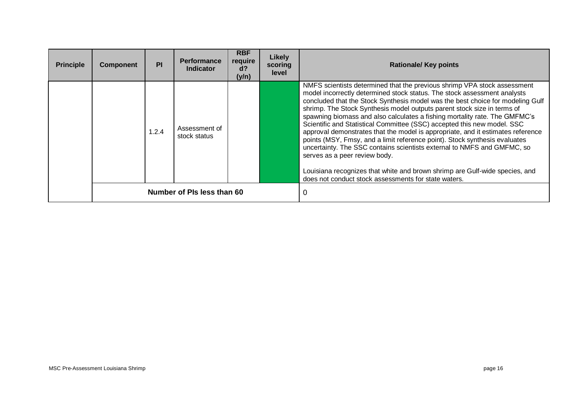| <b>Principle</b> | <b>Component</b> | PI    | <b>Performance</b><br><b>Indicator</b> | <b>RBF</b><br>require<br>$d$ ?<br>(y/n) | Likely<br>scoring<br>level | <b>Rationale/ Key points</b>                                                                                                                                                                                                                                                                                                                                                                                                                                                                                                                                                                                                                                                                                                                                                                                                                                                                   |
|------------------|------------------|-------|----------------------------------------|-----------------------------------------|----------------------------|------------------------------------------------------------------------------------------------------------------------------------------------------------------------------------------------------------------------------------------------------------------------------------------------------------------------------------------------------------------------------------------------------------------------------------------------------------------------------------------------------------------------------------------------------------------------------------------------------------------------------------------------------------------------------------------------------------------------------------------------------------------------------------------------------------------------------------------------------------------------------------------------|
|                  |                  | 1.2.4 | Assessment of<br>stock status          |                                         |                            | NMFS scientists determined that the previous shrimp VPA stock assessment<br>model incorrectly determined stock status. The stock assessment analysts<br>concluded that the Stock Synthesis model was the best choice for modeling Gulf<br>shrimp. The Stock Synthesis model outputs parent stock size in terms of<br>spawning biomass and also calculates a fishing mortality rate. The GMFMC's<br>Scientific and Statistical Committee (SSC) accepted this new model. SSC<br>approval demonstrates that the model is appropriate, and it estimates reference<br>points (MSY, Fmsy, and a limit reference point). Stock synthesis evaluates<br>uncertainty. The SSC contains scientists external to NMFS and GMFMC, so<br>serves as a peer review body.<br>Louisiana recognizes that white and brown shrimp are Gulf-wide species, and<br>does not conduct stock assessments for state waters. |
|                  |                  |       | Number of PIs less than 60             |                                         |                            |                                                                                                                                                                                                                                                                                                                                                                                                                                                                                                                                                                                                                                                                                                                                                                                                                                                                                                |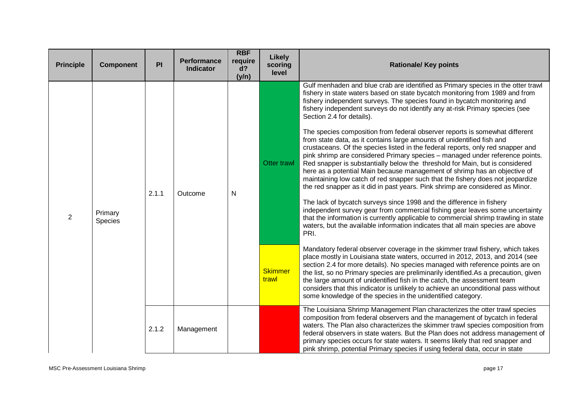| <b>Principle</b> | <b>Component</b>   | PI    | Performance<br><b>Indicator</b> | <b>RBF</b><br>require<br>$d$ ?<br>(y/n) | Likely<br>scoring<br>level             | <b>Rationale/ Key points</b>                                                                                                                                                                                                                                                                                                                                                                                                                                                                                                                                                                                                                                                                                                                                                                                                                                                                                                                                                                                                                                                                                                                                                                                                                                                                                                                                                                                                                                                                                                                                                                                                                                                                                                                                                                                                                                                                                                                |
|------------------|--------------------|-------|---------------------------------|-----------------------------------------|----------------------------------------|---------------------------------------------------------------------------------------------------------------------------------------------------------------------------------------------------------------------------------------------------------------------------------------------------------------------------------------------------------------------------------------------------------------------------------------------------------------------------------------------------------------------------------------------------------------------------------------------------------------------------------------------------------------------------------------------------------------------------------------------------------------------------------------------------------------------------------------------------------------------------------------------------------------------------------------------------------------------------------------------------------------------------------------------------------------------------------------------------------------------------------------------------------------------------------------------------------------------------------------------------------------------------------------------------------------------------------------------------------------------------------------------------------------------------------------------------------------------------------------------------------------------------------------------------------------------------------------------------------------------------------------------------------------------------------------------------------------------------------------------------------------------------------------------------------------------------------------------------------------------------------------------------------------------------------------------|
| $\overline{2}$   | Primary<br>Species | 2.1.1 | Outcome                         | $\mathsf{N}$                            | Otter trawl<br><b>Skimmer</b><br>trawl | Gulf menhaden and blue crab are identified as Primary species in the otter trawl<br>fishery in state waters based on state bycatch monitoring from 1989 and from<br>fishery independent surveys. The species found in bycatch monitoring and<br>fishery independent surveys do not identify any at-risk Primary species (see<br>Section 2.4 for details).<br>The species composition from federal observer reports is somewhat different<br>from state data, as it contains large amounts of unidentified fish and<br>crustaceans. Of the species listed in the federal reports, only red snapper and<br>pink shrimp are considered Primary species - managed under reference points.<br>Red snapper is substantially below the threshold for Main, but is considered<br>here as a potential Main because management of shrimp has an objective of<br>maintaining low catch of red snapper such that the fishery does not jeopardize<br>the red snapper as it did in past years. Pink shrimp are considered as Minor.<br>The lack of bycatch surveys since 1998 and the difference in fishery<br>independent survey gear from commercial fishing gear leaves some uncertainty<br>that the information is currently applicable to commercial shrimp trawling in state<br>waters, but the available information indicates that all main species are above<br>PRI.<br>Mandatory federal observer coverage in the skimmer trawl fishery, which takes<br>place mostly in Louisiana state waters, occurred in 2012, 2013, and 2014 (see<br>section 2.4 for more details). No species managed with reference points are on<br>the list, so no Primary species are preliminarily identified. As a precaution, given<br>the large amount of unidentified fish in the catch, the assessment team<br>considers that this indicator is unlikely to achieve an unconditional pass without<br>some knowledge of the species in the unidentified category. |
|                  |                    | 2.1.2 | Management                      |                                         |                                        | The Louisiana Shrimp Management Plan characterizes the otter trawl species<br>composition from federal observers and the management of bycatch in federal<br>waters. The Plan also characterizes the skimmer trawl species composition from<br>federal observers in state waters. But the Plan does not address management of<br>primary species occurs for state waters. It seems likely that red snapper and<br>pink shrimp, potential Primary species if using federal data, occur in state                                                                                                                                                                                                                                                                                                                                                                                                                                                                                                                                                                                                                                                                                                                                                                                                                                                                                                                                                                                                                                                                                                                                                                                                                                                                                                                                                                                                                                              |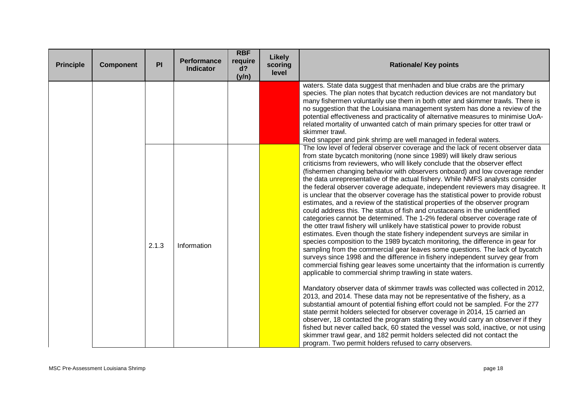| <b>Principle</b> | <b>Component</b> | PI    | <b>Performance</b><br><b>Indicator</b> | <b>RBF</b><br>require<br>d?<br>(y/n) | <b>Likely</b><br>scoring<br>level | <b>Rationale/ Key points</b>                                                                                                                                                                                                                                                                                                                                                                                                                                                                                                                                                                                                                                                                                                                                                                                                                                                                                                                                                                                                                                                                                                                                                                                                                                                                                                                                                                                                                                                                                                                                                                                                                                                                                                                                                                                                                                                                                                                                                                                                                             |
|------------------|------------------|-------|----------------------------------------|--------------------------------------|-----------------------------------|----------------------------------------------------------------------------------------------------------------------------------------------------------------------------------------------------------------------------------------------------------------------------------------------------------------------------------------------------------------------------------------------------------------------------------------------------------------------------------------------------------------------------------------------------------------------------------------------------------------------------------------------------------------------------------------------------------------------------------------------------------------------------------------------------------------------------------------------------------------------------------------------------------------------------------------------------------------------------------------------------------------------------------------------------------------------------------------------------------------------------------------------------------------------------------------------------------------------------------------------------------------------------------------------------------------------------------------------------------------------------------------------------------------------------------------------------------------------------------------------------------------------------------------------------------------------------------------------------------------------------------------------------------------------------------------------------------------------------------------------------------------------------------------------------------------------------------------------------------------------------------------------------------------------------------------------------------------------------------------------------------------------------------------------------------|
|                  |                  |       |                                        |                                      |                                   | waters. State data suggest that menhaden and blue crabs are the primary<br>species. The plan notes that bycatch reduction devices are not mandatory but<br>many fishermen voluntarily use them in both otter and skimmer trawls. There is<br>no suggestion that the Louisiana management system has done a review of the<br>potential effectiveness and practicality of alternative measures to minimise UoA-<br>related mortality of unwanted catch of main primary species for otter trawl or<br>skimmer trawl.<br>Red snapper and pink shrimp are well managed in federal waters.                                                                                                                                                                                                                                                                                                                                                                                                                                                                                                                                                                                                                                                                                                                                                                                                                                                                                                                                                                                                                                                                                                                                                                                                                                                                                                                                                                                                                                                                     |
|                  |                  | 2.1.3 | Information                            |                                      |                                   | The low level of federal observer coverage and the lack of recent observer data<br>from state bycatch monitoring (none since 1989) will likely draw serious<br>criticisms from reviewers, who will likely conclude that the observer effect<br>(fishermen changing behavior with observers onboard) and low coverage render<br>the data unrepresentative of the actual fishery. While NMFS analysts consider<br>the federal observer coverage adequate, independent reviewers may disagree. It<br>is unclear that the observer coverage has the statistical power to provide robust<br>estimates, and a review of the statistical properties of the observer program<br>could address this. The status of fish and crustaceans in the unidentified<br>categories cannot be determined. The 1-2% federal observer coverage rate of<br>the otter trawl fishery will unlikely have statistical power to provide robust<br>estimates. Even though the state fishery independent surveys are similar in<br>species composition to the 1989 bycatch monitoring, the difference in gear for<br>sampling from the commercial gear leaves some questions. The lack of bycatch<br>surveys since 1998 and the difference in fishery independent survey gear from<br>commercial fishing gear leaves some uncertainty that the information is currently<br>applicable to commercial shrimp trawling in state waters.<br>Mandatory observer data of skimmer trawls was collected was collected in 2012,<br>2013, and 2014. These data may not be representative of the fishery, as a<br>substantial amount of potential fishing effort could not be sampled. For the 277<br>state permit holders selected for observer coverage in 2014, 15 carried an<br>observer, 18 contacted the program stating they would carry an observer if they<br>fished but never called back, 60 stated the vessel was sold, inactive, or not using<br>skimmer trawl gear, and 182 permit holders selected did not contact the<br>program. Two permit holders refused to carry observers. |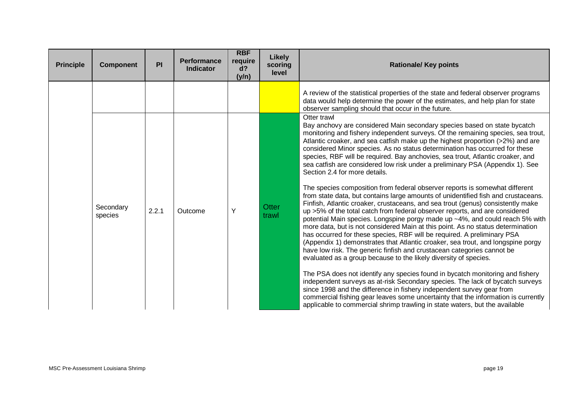| <b>Principle</b> | <b>Component</b>     | PI    | <b>Performance</b><br><b>Indicator</b> | <b>RBF</b><br>require<br>$d$ ?<br>(y/n) | Likely<br>scoring<br>level | <b>Rationale/ Key points</b>                                                                                                                                                                                                                                                                                                                                                                                                                                                                                                                                                                                                                                                                                                                                                                                                                                                                                                                                                                                                                                                                                                                                                                                                                                                                                                                                          |
|------------------|----------------------|-------|----------------------------------------|-----------------------------------------|----------------------------|-----------------------------------------------------------------------------------------------------------------------------------------------------------------------------------------------------------------------------------------------------------------------------------------------------------------------------------------------------------------------------------------------------------------------------------------------------------------------------------------------------------------------------------------------------------------------------------------------------------------------------------------------------------------------------------------------------------------------------------------------------------------------------------------------------------------------------------------------------------------------------------------------------------------------------------------------------------------------------------------------------------------------------------------------------------------------------------------------------------------------------------------------------------------------------------------------------------------------------------------------------------------------------------------------------------------------------------------------------------------------|
|                  |                      |       |                                        |                                         |                            | A review of the statistical properties of the state and federal observer programs<br>data would help determine the power of the estimates, and help plan for state<br>observer sampling should that occur in the future.                                                                                                                                                                                                                                                                                                                                                                                                                                                                                                                                                                                                                                                                                                                                                                                                                                                                                                                                                                                                                                                                                                                                              |
|                  | Secondary<br>species | 2.2.1 | Outcome                                | Υ                                       | <b>Otter</b><br>trawl      | Otter trawl<br>Bay anchovy are considered Main secondary species based on state bycatch<br>monitoring and fishery independent surveys. Of the remaining species, sea trout,<br>Atlantic croaker, and sea catfish make up the highest proportion (>2%) and are<br>considered Minor species. As no status determination has occurred for these<br>species, RBF will be required. Bay anchovies, sea trout, Atlantic croaker, and<br>sea catfish are considered low risk under a preliminary PSA (Appendix 1). See<br>Section 2.4 for more details.<br>The species composition from federal observer reports is somewhat different<br>from state data, but contains large amounts of unidentified fish and crustaceans.<br>Finfish, Atlantic croaker, crustaceans, and sea trout (genus) consistently make<br>up >5% of the total catch from federal observer reports, and are considered<br>potential Main species. Longspine porgy made up ~4%, and could reach 5% with<br>more data, but is not considered Main at this point. As no status determination<br>has occurred for these species, RBF will be required. A preliminary PSA<br>(Appendix 1) demonstrates that Atlantic croaker, sea trout, and longspine porgy<br>have low risk. The generic finfish and crustacean categories cannot be<br>evaluated as a group because to the likely diversity of species. |
|                  |                      |       |                                        |                                         |                            | The PSA does not identify any species found in bycatch monitoring and fishery<br>independent surveys as at-risk Secondary species. The lack of bycatch surveys<br>since 1998 and the difference in fishery independent survey gear from<br>commercial fishing gear leaves some uncertainty that the information is currently<br>applicable to commercial shrimp trawling in state waters, but the available                                                                                                                                                                                                                                                                                                                                                                                                                                                                                                                                                                                                                                                                                                                                                                                                                                                                                                                                                           |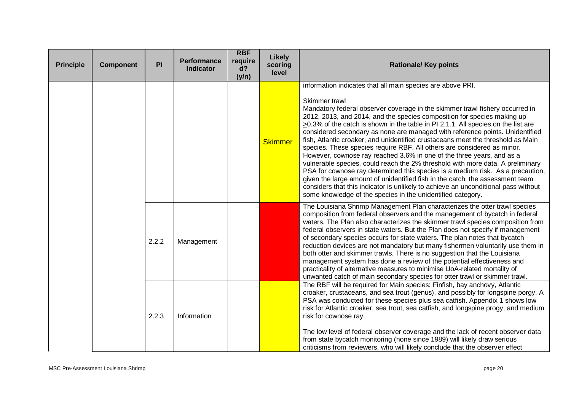| <b>Principle</b> | <b>Component</b> | PI    | <b>Performance</b><br><b>Indicator</b> | <b>RBF</b><br>require<br>$d$ ?<br>(y/n) | <b>Likely</b><br>scoring<br>level | <b>Rationale/ Key points</b>                                                                                                                                                                                                                                                                                                                                                                                                                                                                                                                                                                                                                                                                                                                                                                                                                                                                                                                                                                                                                                       |
|------------------|------------------|-------|----------------------------------------|-----------------------------------------|-----------------------------------|--------------------------------------------------------------------------------------------------------------------------------------------------------------------------------------------------------------------------------------------------------------------------------------------------------------------------------------------------------------------------------------------------------------------------------------------------------------------------------------------------------------------------------------------------------------------------------------------------------------------------------------------------------------------------------------------------------------------------------------------------------------------------------------------------------------------------------------------------------------------------------------------------------------------------------------------------------------------------------------------------------------------------------------------------------------------|
|                  |                  |       |                                        |                                         | <b>Skimmer</b>                    | information indicates that all main species are above PRI.<br>Skimmer trawl<br>Mandatory federal observer coverage in the skimmer trawl fishery occurred in<br>2012, 2013, and 2014, and the species composition for species making up<br>$\geq$ 0.3% of the catch is shown in the table in PI 2.1.1. All species on the list are<br>considered secondary as none are managed with reference points. Unidentified<br>fish, Atlantic croaker, and unidentified crustaceans meet the threshold as Main<br>species. These species require RBF. All others are considered as minor.<br>However, cownose ray reached 3.6% in one of the three years, and as a<br>vulnerable species, could reach the 2% threshold with more data. A preliminary<br>PSA for cownose ray determined this species is a medium risk. As a precaution,<br>given the large amount of unidentified fish in the catch, the assessment team<br>considers that this indicator is unlikely to achieve an unconditional pass without<br>some knowledge of the species in the unidentified category. |
|                  |                  | 2.2.2 | Management                             |                                         |                                   | The Louisiana Shrimp Management Plan characterizes the otter trawl species<br>composition from federal observers and the management of bycatch in federal<br>waters. The Plan also characterizes the skimmer trawl species composition from<br>federal observers in state waters. But the Plan does not specify if management<br>of secondary species occurs for state waters. The plan notes that bycatch<br>reduction devices are not mandatory but many fishermen voluntarily use them in<br>both otter and skimmer trawls. There is no suggestion that the Louisiana<br>management system has done a review of the potential effectiveness and<br>practicality of alternative measures to minimise UoA-related mortality of<br>unwanted catch of main secondary species for otter trawl or skimmer trawl.                                                                                                                                                                                                                                                      |
|                  |                  | 2.2.3 | Information                            |                                         |                                   | The RBF will be required for Main species: Finfish, bay anchovy, Atlantic<br>croaker, crustaceans, and sea trout (genus), and possibly for longspine porgy. A<br>PSA was conducted for these species plus sea catfish. Appendix 1 shows low<br>risk for Atlantic croaker, sea trout, sea catfish, and longspine progy, and medium<br>risk for cownose ray.<br>The low level of federal observer coverage and the lack of recent observer data<br>from state bycatch monitoring (none since 1989) will likely draw serious<br>criticisms from reviewers, who will likely conclude that the observer effect                                                                                                                                                                                                                                                                                                                                                                                                                                                          |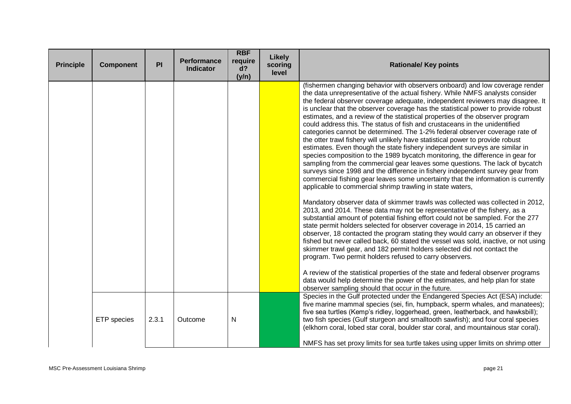| <b>Principle</b> | <b>Component</b> | PI    | <b>Performance</b><br><b>Indicator</b> | <b>RBF</b><br>require<br>$d$ ?<br>(y/n) | <b>Likely</b><br>scoring<br>level | <b>Rationale/ Key points</b>                                                                                                                                                                                                                                                                                                                                                                                                                                                                                                                                                                                                                                                                                                                                                                                                                                                                                                                                                                                                                                                                                                                                                                                                                                                                                                                                                                                                                                                                                                                                                                                                                                                                                                                   |
|------------------|------------------|-------|----------------------------------------|-----------------------------------------|-----------------------------------|------------------------------------------------------------------------------------------------------------------------------------------------------------------------------------------------------------------------------------------------------------------------------------------------------------------------------------------------------------------------------------------------------------------------------------------------------------------------------------------------------------------------------------------------------------------------------------------------------------------------------------------------------------------------------------------------------------------------------------------------------------------------------------------------------------------------------------------------------------------------------------------------------------------------------------------------------------------------------------------------------------------------------------------------------------------------------------------------------------------------------------------------------------------------------------------------------------------------------------------------------------------------------------------------------------------------------------------------------------------------------------------------------------------------------------------------------------------------------------------------------------------------------------------------------------------------------------------------------------------------------------------------------------------------------------------------------------------------------------------------|
|                  |                  |       |                                        |                                         |                                   | (fishermen changing behavior with observers onboard) and low coverage render<br>the data unrepresentative of the actual fishery. While NMFS analysts consider<br>the federal observer coverage adequate, independent reviewers may disagree. It<br>is unclear that the observer coverage has the statistical power to provide robust<br>estimates, and a review of the statistical properties of the observer program<br>could address this. The status of fish and crustaceans in the unidentified<br>categories cannot be determined. The 1-2% federal observer coverage rate of<br>the otter trawl fishery will unlikely have statistical power to provide robust<br>estimates. Even though the state fishery independent surveys are similar in<br>species composition to the 1989 bycatch monitoring, the difference in gear for<br>sampling from the commercial gear leaves some questions. The lack of bycatch<br>surveys since 1998 and the difference in fishery independent survey gear from<br>commercial fishing gear leaves some uncertainty that the information is currently<br>applicable to commercial shrimp trawling in state waters,<br>Mandatory observer data of skimmer trawls was collected was collected in 2012,<br>2013, and 2014. These data may not be representative of the fishery, as a<br>substantial amount of potential fishing effort could not be sampled. For the 277<br>state permit holders selected for observer coverage in 2014, 15 carried an<br>observer, 18 contacted the program stating they would carry an observer if they<br>fished but never called back, 60 stated the vessel was sold, inactive, or not using<br>skimmer trawl gear, and 182 permit holders selected did not contact the |
|                  |                  |       |                                        |                                         |                                   | program. Two permit holders refused to carry observers.<br>A review of the statistical properties of the state and federal observer programs<br>data would help determine the power of the estimates, and help plan for state<br>observer sampling should that occur in the future.                                                                                                                                                                                                                                                                                                                                                                                                                                                                                                                                                                                                                                                                                                                                                                                                                                                                                                                                                                                                                                                                                                                                                                                                                                                                                                                                                                                                                                                            |
|                  | ETP species      | 2.3.1 | Outcome                                | $\mathsf{N}$                            |                                   | Species in the Gulf protected under the Endangered Species Act (ESA) include:<br>five marine mammal species (sei, fin, humpback, sperm whales, and manatees);<br>five sea turtles (Kemp's ridley, loggerhead, green, leatherback, and hawksbill);<br>two fish species (Gulf sturgeon and smalltooth sawfish); and four coral species<br>(elkhorn coral, lobed star coral, boulder star coral, and mountainous star coral).<br>NMFS has set proxy limits for sea turtle takes using upper limits on shrimp otter                                                                                                                                                                                                                                                                                                                                                                                                                                                                                                                                                                                                                                                                                                                                                                                                                                                                                                                                                                                                                                                                                                                                                                                                                                |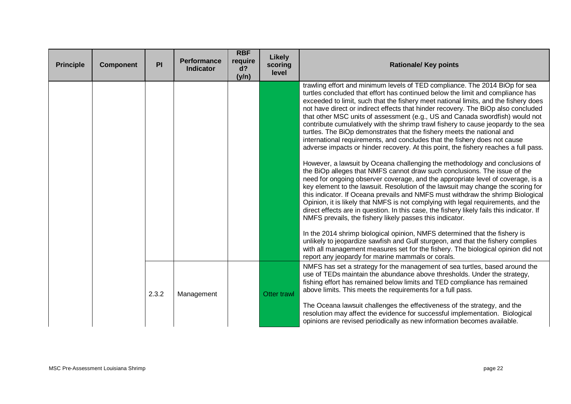| <b>Principle</b> | <b>Component</b> | PI    | <b>Performance</b><br><b>Indicator</b> | <b>RBF</b><br>require<br>d?<br>(y/n) | Likely<br>scoring<br>level | <b>Rationale/ Key points</b>                                                                                                                                                                                                                                                                                                                                                                                                                                                                                                                                                                                                                                                                                                                                                                                                                                                                                                                                                                                                                                                                                                                                                                                                                                                                                                                                                                                                                                                                                                                                                                       |
|------------------|------------------|-------|----------------------------------------|--------------------------------------|----------------------------|----------------------------------------------------------------------------------------------------------------------------------------------------------------------------------------------------------------------------------------------------------------------------------------------------------------------------------------------------------------------------------------------------------------------------------------------------------------------------------------------------------------------------------------------------------------------------------------------------------------------------------------------------------------------------------------------------------------------------------------------------------------------------------------------------------------------------------------------------------------------------------------------------------------------------------------------------------------------------------------------------------------------------------------------------------------------------------------------------------------------------------------------------------------------------------------------------------------------------------------------------------------------------------------------------------------------------------------------------------------------------------------------------------------------------------------------------------------------------------------------------------------------------------------------------------------------------------------------------|
|                  |                  |       |                                        |                                      |                            | trawling effort and minimum levels of TED compliance. The 2014 BiOp for sea<br>turtles concluded that effort has continued below the limit and compliance has<br>exceeded to limit, such that the fishery meet national limits, and the fishery does<br>not have direct or indirect effects that hinder recovery. The BiOp also concluded<br>that other MSC units of assessment (e.g., US and Canada swordfish) would not<br>contribute cumulatively with the shrimp trawl fishery to cause jeopardy to the sea<br>turtles. The BiOp demonstrates that the fishery meets the national and<br>international requirements, and concludes that the fishery does not cause<br>adverse impacts or hinder recovery. At this point, the fishery reaches a full pass.<br>However, a lawsuit by Oceana challenging the methodology and conclusions of<br>the BiOp alleges that NMFS cannot draw such conclusions. The issue of the<br>need for ongoing observer coverage, and the appropriate level of coverage, is a<br>key element to the lawsuit. Resolution of the lawsuit may change the scoring for<br>this indicator. If Oceana prevails and NMFS must withdraw the shrimp Biological<br>Opinion, it is likely that NMFS is not complying with legal requirements, and the<br>direct effects are in question. In this case, the fishery likely fails this indicator. If<br>NMFS prevails, the fishery likely passes this indicator.<br>In the 2014 shrimp biological opinion, NMFS determined that the fishery is<br>unlikely to jeopardize sawfish and Gulf sturgeon, and that the fishery complies |
|                  |                  |       |                                        |                                      |                            | with all management measures set for the fishery. The biological opinion did not<br>report any jeopardy for marine mammals or corals.                                                                                                                                                                                                                                                                                                                                                                                                                                                                                                                                                                                                                                                                                                                                                                                                                                                                                                                                                                                                                                                                                                                                                                                                                                                                                                                                                                                                                                                              |
|                  |                  | 2.3.2 | Management                             |                                      | <b>Otter trawl</b>         | NMFS has set a strategy for the management of sea turtles, based around the<br>use of TEDs maintain the abundance above thresholds. Under the strategy,<br>fishing effort has remained below limits and TED compliance has remained<br>above limits. This meets the requirements for a full pass.                                                                                                                                                                                                                                                                                                                                                                                                                                                                                                                                                                                                                                                                                                                                                                                                                                                                                                                                                                                                                                                                                                                                                                                                                                                                                                  |
|                  |                  |       |                                        |                                      |                            | The Oceana lawsuit challenges the effectiveness of the strategy, and the<br>resolution may affect the evidence for successful implementation. Biological<br>opinions are revised periodically as new information becomes available.                                                                                                                                                                                                                                                                                                                                                                                                                                                                                                                                                                                                                                                                                                                                                                                                                                                                                                                                                                                                                                                                                                                                                                                                                                                                                                                                                                |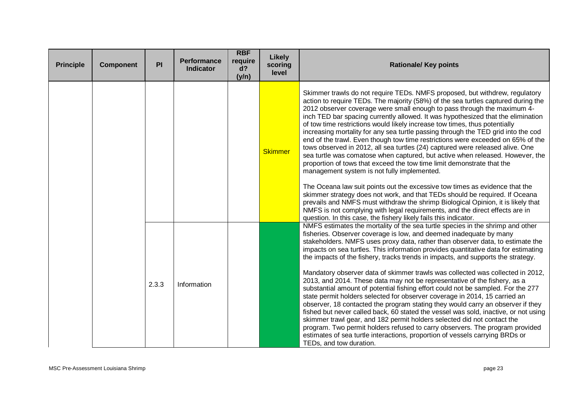| <b>Principle</b> | <b>Component</b> | PI    | <b>Performance</b><br><b>Indicator</b> | <b>RBF</b><br>require<br>d?<br>(y/n) | <b>Likely</b><br>scoring<br>level | <b>Rationale/ Key points</b>                                                                                                                                                                                                                                                                                                                                                                                                                                                                                                                                                                                                                                                                                                                                                                                                                                                                                                                                                                                                                                                                                                                                                                                                                                                           |
|------------------|------------------|-------|----------------------------------------|--------------------------------------|-----------------------------------|----------------------------------------------------------------------------------------------------------------------------------------------------------------------------------------------------------------------------------------------------------------------------------------------------------------------------------------------------------------------------------------------------------------------------------------------------------------------------------------------------------------------------------------------------------------------------------------------------------------------------------------------------------------------------------------------------------------------------------------------------------------------------------------------------------------------------------------------------------------------------------------------------------------------------------------------------------------------------------------------------------------------------------------------------------------------------------------------------------------------------------------------------------------------------------------------------------------------------------------------------------------------------------------|
|                  |                  |       |                                        |                                      | <b>Skimmer</b>                    | Skimmer trawls do not require TEDs. NMFS proposed, but withdrew, regulatory<br>action to require TEDs. The majority (58%) of the sea turtles captured during the<br>2012 observer coverage were small enough to pass through the maximum 4-<br>inch TED bar spacing currently allowed. It was hypothesized that the elimination<br>of tow time restrictions would likely increase tow times, thus potentially<br>increasing mortality for any sea turtle passing through the TED grid into the cod<br>end of the trawl. Even though tow time restrictions were exceeded on 65% of the<br>tows observed in 2012, all sea turtles (24) captured were released alive. One<br>sea turtle was comatose when captured, but active when released. However, the<br>proportion of tows that exceed the tow time limit demonstrate that the<br>management system is not fully implemented.<br>The Oceana law suit points out the excessive tow times as evidence that the<br>skimmer strategy does not work, and that TEDs should be required. If Oceana<br>prevails and NMFS must withdraw the shrimp Biological Opinion, it is likely that<br>NMFS is not complying with legal requirements, and the direct effects are in<br>question. In this case, the fishery likely fails this indicator. |
|                  |                  | 2.3.3 | Information                            |                                      |                                   | NMFS estimates the mortality of the sea turtle species in the shrimp and other<br>fisheries. Observer coverage is low, and deemed inadequate by many<br>stakeholders. NMFS uses proxy data, rather than observer data, to estimate the<br>impacts on sea turtles. This information provides quantitative data for estimating<br>the impacts of the fishery, tracks trends in impacts, and supports the strategy.<br>Mandatory observer data of skimmer trawls was collected was collected in 2012,<br>2013, and 2014. These data may not be representative of the fishery, as a<br>substantial amount of potential fishing effort could not be sampled. For the 277<br>state permit holders selected for observer coverage in 2014, 15 carried an<br>observer, 18 contacted the program stating they would carry an observer if they<br>fished but never called back, 60 stated the vessel was sold, inactive, or not using<br>skimmer trawl gear, and 182 permit holders selected did not contact the<br>program. Two permit holders refused to carry observers. The program provided<br>estimates of sea turtle interactions, proportion of vessels carrying BRDs or<br>TEDs, and tow duration.                                                                                      |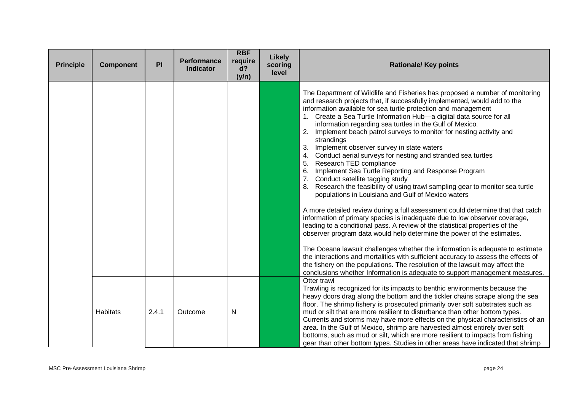| <b>Principle</b> | <b>Component</b> | PI    | <b>Performance</b><br><b>Indicator</b> | <b>RBF</b><br>require<br>d?<br>(y/n) | Likely<br>scoring<br>level | <b>Rationale/ Key points</b>                                                                                                                                                                                                                                                                                                                                                                                                                                                                                                                                                                                                                                                                                                                                                                                                                                                                                                                                                                                                                                                                                                                                                                                                                                                                                                                                                                                                                                                                                                         |
|------------------|------------------|-------|----------------------------------------|--------------------------------------|----------------------------|--------------------------------------------------------------------------------------------------------------------------------------------------------------------------------------------------------------------------------------------------------------------------------------------------------------------------------------------------------------------------------------------------------------------------------------------------------------------------------------------------------------------------------------------------------------------------------------------------------------------------------------------------------------------------------------------------------------------------------------------------------------------------------------------------------------------------------------------------------------------------------------------------------------------------------------------------------------------------------------------------------------------------------------------------------------------------------------------------------------------------------------------------------------------------------------------------------------------------------------------------------------------------------------------------------------------------------------------------------------------------------------------------------------------------------------------------------------------------------------------------------------------------------------|
|                  |                  |       |                                        |                                      |                            | The Department of Wildlife and Fisheries has proposed a number of monitoring<br>and research projects that, if successfully implemented, would add to the<br>information available for sea turtle protection and management<br>1. Create a Sea Turtle Information Hub-a digital data source for all<br>information regarding sea turtles in the Gulf of Mexico.<br>Implement beach patrol surveys to monitor for nesting activity and<br>2.<br>strandings<br>3.<br>Implement observer survey in state waters<br>Conduct aerial surveys for nesting and stranded sea turtles<br>4.<br>Research TED compliance<br>5.<br>Implement Sea Turtle Reporting and Response Program<br>6.<br>7.<br>Conduct satellite tagging study<br>Research the feasibility of using trawl sampling gear to monitor sea turtle<br>8.<br>populations in Louisiana and Gulf of Mexico waters<br>A more detailed review during a full assessment could determine that that catch<br>information of primary species is inadequate due to low observer coverage,<br>leading to a conditional pass. A review of the statistical properties of the<br>observer program data would help determine the power of the estimates.<br>The Oceana lawsuit challenges whether the information is adequate to estimate<br>the interactions and mortalities with sufficient accuracy to assess the effects of<br>the fishery on the populations. The resolution of the lawsuit may affect the<br>conclusions whether Information is adequate to support management measures. |
|                  | <b>Habitats</b>  | 2.4.1 | Outcome                                | N                                    |                            | Otter trawl<br>Trawling is recognized for its impacts to benthic environments because the<br>heavy doors drag along the bottom and the tickler chains scrape along the sea<br>floor. The shrimp fishery is prosecuted primarily over soft substrates such as<br>mud or silt that are more resilient to disturbance than other bottom types.<br>Currents and storms may have more effects on the physical characteristics of an<br>area. In the Gulf of Mexico, shrimp are harvested almost entirely over soft<br>bottoms, such as mud or silt, which are more resilient to impacts from fishing<br>gear than other bottom types. Studies in other areas have indicated that shrimp                                                                                                                                                                                                                                                                                                                                                                                                                                                                                                                                                                                                                                                                                                                                                                                                                                                   |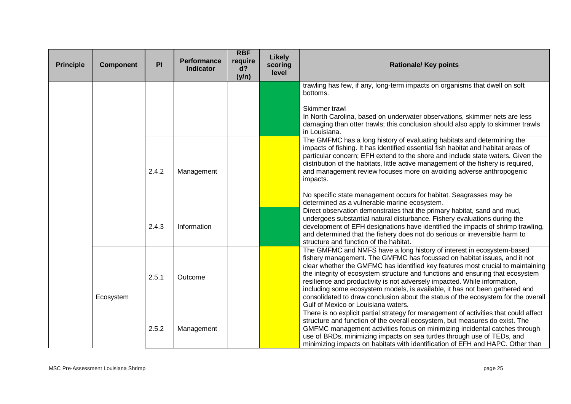| <b>Principle</b> | <b>Component</b> | PI    | Performance<br><b>Indicator</b> | <b>RBF</b><br>require<br>$d$ ?<br>(y/n) | Likely<br>scoring<br>level | <b>Rationale/ Key points</b>                                                                                                                                                                                                                                                                                                                                                                                                                                                                                                                                                                                   |
|------------------|------------------|-------|---------------------------------|-----------------------------------------|----------------------------|----------------------------------------------------------------------------------------------------------------------------------------------------------------------------------------------------------------------------------------------------------------------------------------------------------------------------------------------------------------------------------------------------------------------------------------------------------------------------------------------------------------------------------------------------------------------------------------------------------------|
|                  |                  |       |                                 |                                         |                            | trawling has few, if any, long-term impacts on organisms that dwell on soft<br>bottoms.                                                                                                                                                                                                                                                                                                                                                                                                                                                                                                                        |
|                  |                  |       |                                 |                                         |                            | Skimmer trawl<br>In North Carolina, based on underwater observations, skimmer nets are less<br>damaging than otter trawls; this conclusion should also apply to skimmer trawls<br>in Louisiana.                                                                                                                                                                                                                                                                                                                                                                                                                |
|                  |                  | 2.4.2 | Management                      |                                         |                            | The GMFMC has a long history of evaluating habitats and determining the<br>impacts of fishing. It has identified essential fish habitat and habitat areas of<br>particular concern; EFH extend to the shore and include state waters. Given the<br>distribution of the habitats, little active management of the fishery is required,<br>and management review focuses more on avoiding adverse anthropogenic<br>impacts.                                                                                                                                                                                      |
|                  |                  |       |                                 |                                         |                            | No specific state management occurs for habitat. Seagrasses may be<br>determined as a vulnerable marine ecosystem.                                                                                                                                                                                                                                                                                                                                                                                                                                                                                             |
|                  | 2.4.3            |       | Information                     |                                         |                            | Direct observation demonstrates that the primary habitat, sand and mud,<br>undergoes substantial natural disturbance. Fishery evaluations during the<br>development of EFH designations have identified the impacts of shrimp trawling,<br>and determined that the fishery does not do serious or irreversible harm to<br>structure and function of the habitat.                                                                                                                                                                                                                                               |
|                  | Ecosystem        | 2.5.1 | Outcome                         |                                         |                            | The GMFMC and NMFS have a long history of interest in ecosystem-based<br>fishery management. The GMFMC has focussed on habitat issues, and it not<br>clear whether the GMFMC has identified key features most crucial to maintaining<br>the integrity of ecosystem structure and functions and ensuring that ecosystem<br>resilience and productivity is not adversely impacted. While information,<br>including some ecosystem models, is available, it has not been gathered and<br>consolidated to draw conclusion about the status of the ecosystem for the overall<br>Gulf of Mexico or Louisiana waters. |
|                  |                  | 2.5.2 | Management                      |                                         |                            | There is no explicit partial strategy for management of activities that could affect<br>structure and function of the overall ecosystem, but measures do exist. The<br>GMFMC management activities focus on minimizing incidental catches through<br>use of BRDs, minimizing impacts on sea turtles through use of TEDs, and<br>minimizing impacts on habitats with identification of EFH and HAPC. Other than                                                                                                                                                                                                 |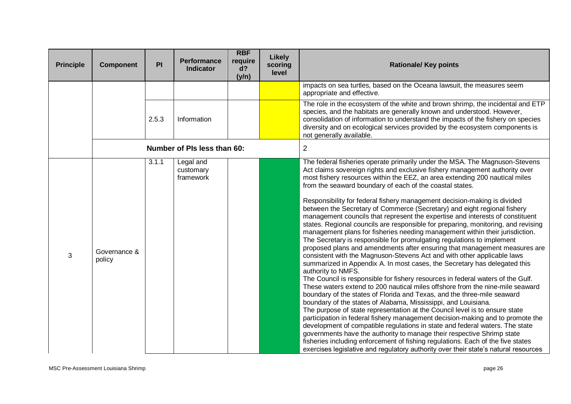| <b>Principle</b> | <b>Component</b>       | PI    | <b>Performance</b><br><b>Indicator</b> | <b>RBF</b><br>require<br>d?<br>(y/n) | <b>Likely</b><br>scoring<br>level | <b>Rationale/ Key points</b>                                                                                                                                                                                                                                                                                                                                                                                                                                                                                                                                                                                                                                                                                                                                                                                                                                                                                                                                                                                                                                                                                                                                                                                                                                                                                                                                                                                                                                                                                                                                                                                                                                                                                                                                                                                                                                                   |
|------------------|------------------------|-------|----------------------------------------|--------------------------------------|-----------------------------------|--------------------------------------------------------------------------------------------------------------------------------------------------------------------------------------------------------------------------------------------------------------------------------------------------------------------------------------------------------------------------------------------------------------------------------------------------------------------------------------------------------------------------------------------------------------------------------------------------------------------------------------------------------------------------------------------------------------------------------------------------------------------------------------------------------------------------------------------------------------------------------------------------------------------------------------------------------------------------------------------------------------------------------------------------------------------------------------------------------------------------------------------------------------------------------------------------------------------------------------------------------------------------------------------------------------------------------------------------------------------------------------------------------------------------------------------------------------------------------------------------------------------------------------------------------------------------------------------------------------------------------------------------------------------------------------------------------------------------------------------------------------------------------------------------------------------------------------------------------------------------------|
|                  |                        |       |                                        |                                      |                                   | impacts on sea turtles, based on the Oceana lawsuit, the measures seem<br>appropriate and effective.                                                                                                                                                                                                                                                                                                                                                                                                                                                                                                                                                                                                                                                                                                                                                                                                                                                                                                                                                                                                                                                                                                                                                                                                                                                                                                                                                                                                                                                                                                                                                                                                                                                                                                                                                                           |
|                  |                        | 2.5.3 | Information                            |                                      |                                   | The role in the ecosystem of the white and brown shrimp, the incidental and ETP<br>species, and the habitats are generally known and understood. However,<br>consolidation of information to understand the impacts of the fishery on species<br>diversity and on ecological services provided by the ecosystem components is<br>not generally available.                                                                                                                                                                                                                                                                                                                                                                                                                                                                                                                                                                                                                                                                                                                                                                                                                                                                                                                                                                                                                                                                                                                                                                                                                                                                                                                                                                                                                                                                                                                      |
|                  |                        |       | Number of PIs less than 60:            |                                      |                                   | $\overline{2}$                                                                                                                                                                                                                                                                                                                                                                                                                                                                                                                                                                                                                                                                                                                                                                                                                                                                                                                                                                                                                                                                                                                                                                                                                                                                                                                                                                                                                                                                                                                                                                                                                                                                                                                                                                                                                                                                 |
| 3                | Governance &<br>policy | 3.1.1 | Legal and<br>customary<br>framework    |                                      |                                   | The federal fisheries operate primarily under the MSA. The Magnuson-Stevens<br>Act claims sovereign rights and exclusive fishery management authority over<br>most fishery resources within the EEZ, an area extending 200 nautical miles<br>from the seaward boundary of each of the coastal states.<br>Responsibility for federal fishery management decision-making is divided<br>between the Secretary of Commerce (Secretary) and eight regional fishery<br>management councils that represent the expertise and interests of constituent<br>states. Regional councils are responsible for preparing, monitoring, and revising<br>management plans for fisheries needing management within their jurisdiction.<br>The Secretary is responsible for promulgating regulations to implement<br>proposed plans and amendments after ensuring that management measures are<br>consistent with the Magnuson-Stevens Act and with other applicable laws<br>summarized in Appendix A. In most cases, the Secretary has delegated this<br>authority to NMFS.<br>The Council is responsible for fishery resources in federal waters of the Gulf.<br>These waters extend to 200 nautical miles offshore from the nine-mile seaward<br>boundary of the states of Florida and Texas, and the three-mile seaward<br>boundary of the states of Alabama, Mississippi, and Louisiana.<br>The purpose of state representation at the Council level is to ensure state<br>participation in federal fishery management decision-making and to promote the<br>development of compatible regulations in state and federal waters. The state<br>governments have the authority to manage their respective Shrimp state<br>fisheries including enforcement of fishing regulations. Each of the five states<br>exercises legislative and regulatory authority over their state's natural resources |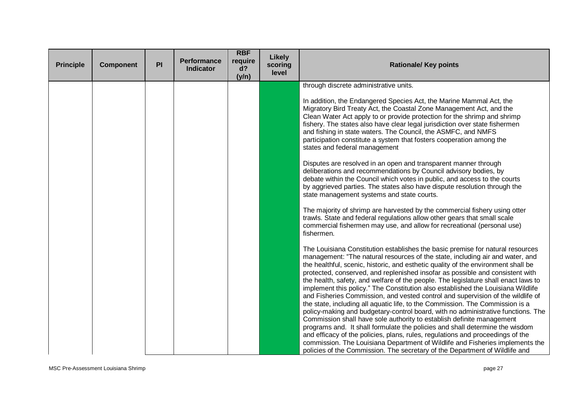| <b>Principle</b> | <b>Component</b> | PI | <b>Performance</b><br><b>Indicator</b> | <b>RBF</b><br>require<br>d?<br>(y/n) | <b>Likely</b><br>scoring<br>level | <b>Rationale/ Key points</b>                                                                                                                                                                                                                                                                                                                                                                                                                                                                                                                                                                                                                                                                                                                                                                                                                                                                                                                                                                                                                                                                                                                                                       |
|------------------|------------------|----|----------------------------------------|--------------------------------------|-----------------------------------|------------------------------------------------------------------------------------------------------------------------------------------------------------------------------------------------------------------------------------------------------------------------------------------------------------------------------------------------------------------------------------------------------------------------------------------------------------------------------------------------------------------------------------------------------------------------------------------------------------------------------------------------------------------------------------------------------------------------------------------------------------------------------------------------------------------------------------------------------------------------------------------------------------------------------------------------------------------------------------------------------------------------------------------------------------------------------------------------------------------------------------------------------------------------------------|
|                  |                  |    |                                        |                                      |                                   | through discrete administrative units.<br>In addition, the Endangered Species Act, the Marine Mammal Act, the                                                                                                                                                                                                                                                                                                                                                                                                                                                                                                                                                                                                                                                                                                                                                                                                                                                                                                                                                                                                                                                                      |
|                  |                  |    |                                        |                                      |                                   | Migratory Bird Treaty Act, the Coastal Zone Management Act, and the<br>Clean Water Act apply to or provide protection for the shrimp and shrimp<br>fishery. The states also have clear legal jurisdiction over state fishermen<br>and fishing in state waters. The Council, the ASMFC, and NMFS<br>participation constitute a system that fosters cooperation among the<br>states and federal management                                                                                                                                                                                                                                                                                                                                                                                                                                                                                                                                                                                                                                                                                                                                                                           |
|                  |                  |    |                                        |                                      |                                   | Disputes are resolved in an open and transparent manner through<br>deliberations and recommendations by Council advisory bodies, by<br>debate within the Council which votes in public, and access to the courts<br>by aggrieved parties. The states also have dispute resolution through the<br>state management systems and state courts.                                                                                                                                                                                                                                                                                                                                                                                                                                                                                                                                                                                                                                                                                                                                                                                                                                        |
|                  |                  |    |                                        |                                      |                                   | The majority of shrimp are harvested by the commercial fishery using otter<br>trawls. State and federal regulations allow other gears that small scale<br>commercial fishermen may use, and allow for recreational (personal use)<br>fishermen.                                                                                                                                                                                                                                                                                                                                                                                                                                                                                                                                                                                                                                                                                                                                                                                                                                                                                                                                    |
|                  |                  |    |                                        |                                      |                                   | The Louisiana Constitution establishes the basic premise for natural resources<br>management: "The natural resources of the state, including air and water, and<br>the healthful, scenic, historic, and esthetic quality of the environment shall be<br>protected, conserved, and replenished insofar as possible and consistent with<br>the health, safety, and welfare of the people. The legislature shall enact laws to<br>implement this policy." The Constitution also established the Louisiana Wildlife<br>and Fisheries Commission, and vested control and supervision of the wildlife of<br>the state, including all aquatic life, to the Commission. The Commission is a<br>policy-making and budgetary-control board, with no administrative functions. The<br>Commission shall have sole authority to establish definite management<br>programs and. It shall formulate the policies and shall determine the wisdom<br>and efficacy of the policies, plans, rules, regulations and proceedings of the<br>commission. The Louisiana Department of Wildlife and Fisheries implements the<br>policies of the Commission. The secretary of the Department of Wildlife and |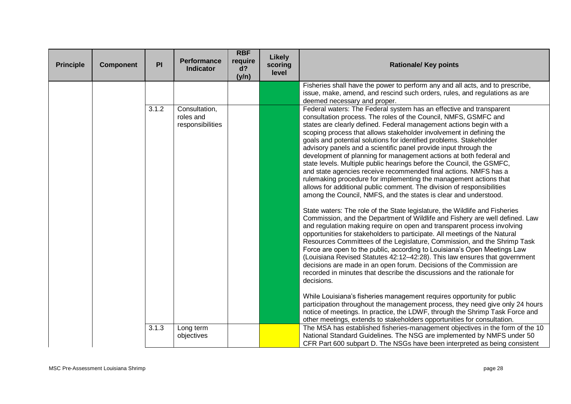| <b>Principle</b> | <b>Component</b> | PI    | <b>Performance</b><br><b>Indicator</b>         | <b>RBF</b><br>require<br>d?<br>(y/n) | Likely<br>scoring<br>level | <b>Rationale/ Key points</b>                                                                                                                                                                                                                                                                                                                                                                                                                                                                                                                                                                                                                                                                                                                                                                                                                                                                                                                                                                                                                                                                                                                                                                                                                                                                                                                                                                                                                                                                                                                                                                                                                                                                                                                                   |
|------------------|------------------|-------|------------------------------------------------|--------------------------------------|----------------------------|----------------------------------------------------------------------------------------------------------------------------------------------------------------------------------------------------------------------------------------------------------------------------------------------------------------------------------------------------------------------------------------------------------------------------------------------------------------------------------------------------------------------------------------------------------------------------------------------------------------------------------------------------------------------------------------------------------------------------------------------------------------------------------------------------------------------------------------------------------------------------------------------------------------------------------------------------------------------------------------------------------------------------------------------------------------------------------------------------------------------------------------------------------------------------------------------------------------------------------------------------------------------------------------------------------------------------------------------------------------------------------------------------------------------------------------------------------------------------------------------------------------------------------------------------------------------------------------------------------------------------------------------------------------------------------------------------------------------------------------------------------------|
|                  |                  |       |                                                |                                      |                            | Fisheries shall have the power to perform any and all acts, and to prescribe,<br>issue, make, amend, and rescind such orders, rules, and regulations as are<br>deemed necessary and proper.                                                                                                                                                                                                                                                                                                                                                                                                                                                                                                                                                                                                                                                                                                                                                                                                                                                                                                                                                                                                                                                                                                                                                                                                                                                                                                                                                                                                                                                                                                                                                                    |
|                  |                  | 3.1.2 | Consultation,<br>roles and<br>responsibilities |                                      |                            | Federal waters: The Federal system has an effective and transparent<br>consultation process. The roles of the Council, NMFS, GSMFC and<br>states are clearly defined. Federal management actions begin with a<br>scoping process that allows stakeholder involvement in defining the<br>goals and potential solutions for identified problems. Stakeholder<br>advisory panels and a scientific panel provide input through the<br>development of planning for management actions at both federal and<br>state levels. Multiple public hearings before the Council, the GSMFC,<br>and state agencies receive recommended final actions. NMFS has a<br>rulemaking procedure for implementing the management actions that<br>allows for additional public comment. The division of responsibilities<br>among the Council, NMFS, and the states is clear and understood.<br>State waters: The role of the State legislature, the Wildlife and Fisheries<br>Commission, and the Department of Wildlife and Fishery are well defined. Law<br>and regulation making require on open and transparent process involving<br>opportunities for stakeholders to participate. All meetings of the Natural<br>Resources Committees of the Legislature, Commission, and the Shrimp Task<br>Force are open to the public, according to Louisiana's Open Meetings Law<br>(Louisiana Revised Statutes 42:12-42:28). This law ensures that government<br>decisions are made in an open forum. Decisions of the Commission are<br>recorded in minutes that describe the discussions and the rationale for<br>decisions.<br>While Louisiana's fisheries management requires opportunity for public<br>participation throughout the management process, they need give only 24 hours |
|                  |                  |       |                                                |                                      |                            | notice of meetings. In practice, the LDWF, through the Shrimp Task Force and<br>other meetings, extends to stakeholders opportunities for consultation.                                                                                                                                                                                                                                                                                                                                                                                                                                                                                                                                                                                                                                                                                                                                                                                                                                                                                                                                                                                                                                                                                                                                                                                                                                                                                                                                                                                                                                                                                                                                                                                                        |
|                  |                  | 3.1.3 | Long term<br>objectives                        |                                      |                            | The MSA has established fisheries-management objectives in the form of the 10<br>National Standard Guidelines. The NSG are implemented by NMFS under 50<br>CFR Part 600 subpart D. The NSGs have been interpreted as being consistent                                                                                                                                                                                                                                                                                                                                                                                                                                                                                                                                                                                                                                                                                                                                                                                                                                                                                                                                                                                                                                                                                                                                                                                                                                                                                                                                                                                                                                                                                                                          |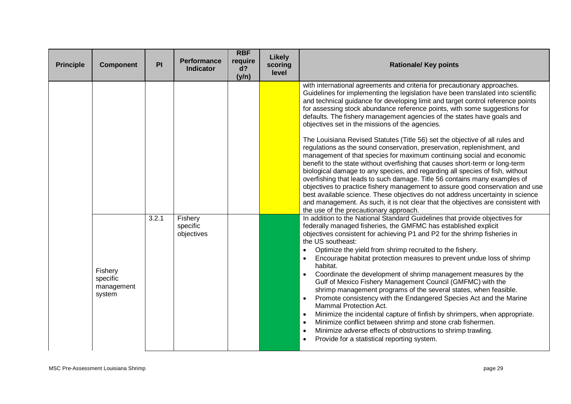| <b>Principle</b> | <b>Component</b>                            | PI    | <b>Performance</b><br><b>Indicator</b> | <b>RBF</b><br>require<br>d?<br>(y/n) | Likely<br>scoring<br>level | <b>Rationale/ Key points</b>                                                                                                                                                                                                                                                                                                                                                                                                                                                                                                                                                                                                                                                                                                                                                                                                                                                                                                                                                                                                                                                                                                                                                                                                                |
|------------------|---------------------------------------------|-------|----------------------------------------|--------------------------------------|----------------------------|---------------------------------------------------------------------------------------------------------------------------------------------------------------------------------------------------------------------------------------------------------------------------------------------------------------------------------------------------------------------------------------------------------------------------------------------------------------------------------------------------------------------------------------------------------------------------------------------------------------------------------------------------------------------------------------------------------------------------------------------------------------------------------------------------------------------------------------------------------------------------------------------------------------------------------------------------------------------------------------------------------------------------------------------------------------------------------------------------------------------------------------------------------------------------------------------------------------------------------------------|
|                  |                                             |       |                                        |                                      |                            | with international agreements and criteria for precautionary approaches.<br>Guidelines for implementing the legislation have been translated into scientific<br>and technical guidance for developing limit and target control reference points<br>for assessing stock abundance reference points, with some suggestions for<br>defaults. The fishery management agencies of the states have goals and<br>objectives set in the missions of the agencies.<br>The Louisiana Revised Statutes (Title 56) set the objective of all rules and<br>regulations as the sound conservation, preservation, replenishment, and<br>management of that species for maximum continuing social and economic<br>benefit to the state without overfishing that causes short-term or long-term<br>biological damage to any species, and regarding all species of fish, without<br>overfishing that leads to such damage. Title 56 contains many examples of<br>objectives to practice fishery management to assure good conservation and use<br>best available science. These objectives do not address uncertainty in science<br>and management. As such, it is not clear that the objectives are consistent with<br>the use of the precautionary approach. |
|                  | Fishery<br>specific<br>management<br>system | 3.2.1 | Fishery<br>specific<br>objectives      |                                      |                            | In addition to the National Standard Guidelines that provide objectives for<br>federally managed fisheries, the GMFMC has established explicit<br>objectives consistent for achieving P1 and P2 for the shrimp fisheries in<br>the US southeast:<br>Optimize the yield from shrimp recruited to the fishery.<br>Encourage habitat protection measures to prevent undue loss of shrimp<br>habitat.<br>Coordinate the development of shrimp management measures by the<br>Gulf of Mexico Fishery Management Council (GMFMC) with the<br>shrimp management programs of the several states, when feasible.<br>Promote consistency with the Endangered Species Act and the Marine<br><b>Mammal Protection Act.</b><br>Minimize the incidental capture of finfish by shrimpers, when appropriate.<br>Minimize conflict between shrimp and stone crab fishermen.<br>Minimize adverse effects of obstructions to shrimp trawling.<br>$\bullet$<br>Provide for a statistical reporting system.                                                                                                                                                                                                                                                       |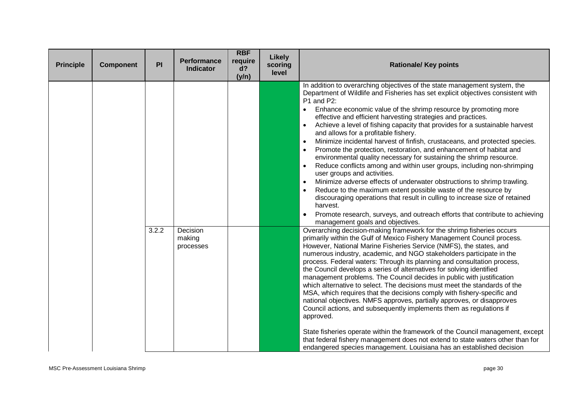| <b>Principle</b> | <b>Component</b> | PI    | <b>Performance</b><br><b>Indicator</b> | <b>RBF</b><br>require<br>d?<br>(y/n) | Likely<br>scoring<br>level | <b>Rationale/ Key points</b>                                                                                                                                                                                                                                                                                                                                                                                                                                                                                                                                                                                                                                                                                                                                                                                                                                                                                                                                                                                                                                                                                                                                                                                                                                                                   |
|------------------|------------------|-------|----------------------------------------|--------------------------------------|----------------------------|------------------------------------------------------------------------------------------------------------------------------------------------------------------------------------------------------------------------------------------------------------------------------------------------------------------------------------------------------------------------------------------------------------------------------------------------------------------------------------------------------------------------------------------------------------------------------------------------------------------------------------------------------------------------------------------------------------------------------------------------------------------------------------------------------------------------------------------------------------------------------------------------------------------------------------------------------------------------------------------------------------------------------------------------------------------------------------------------------------------------------------------------------------------------------------------------------------------------------------------------------------------------------------------------|
|                  |                  | 3.2.2 | Decision                               |                                      |                            | In addition to overarching objectives of the state management system, the<br>Department of Wildlife and Fisheries has set explicit objectives consistent with<br>P1 and P2:<br>Enhance economic value of the shrimp resource by promoting more<br>$\bullet$<br>effective and efficient harvesting strategies and practices.<br>Achieve a level of fishing capacity that provides for a sustainable harvest<br>$\bullet$<br>and allows for a profitable fishery.<br>Minimize incidental harvest of finfish, crustaceans, and protected species.<br>$\bullet$<br>Promote the protection, restoration, and enhancement of habitat and<br>environmental quality necessary for sustaining the shrimp resource.<br>Reduce conflicts among and within user groups, including non-shrimping<br>$\bullet$<br>user groups and activities.<br>Minimize adverse effects of underwater obstructions to shrimp trawling.<br>$\bullet$<br>Reduce to the maximum extent possible waste of the resource by<br>$\bullet$<br>discouraging operations that result in culling to increase size of retained<br>harvest.<br>Promote research, surveys, and outreach efforts that contribute to achieving<br>management goals and objectives.<br>Overarching decision-making framework for the shrimp fisheries occurs |
|                  |                  |       | making<br>processes                    |                                      |                            | primarily within the Gulf of Mexico Fishery Management Council process.<br>However, National Marine Fisheries Service (NMFS), the states, and<br>numerous industry, academic, and NGO stakeholders participate in the<br>process. Federal waters: Through its planning and consultation process,<br>the Council develops a series of alternatives for solving identified<br>management problems. The Council decides in public with justification<br>which alternative to select. The decisions must meet the standards of the<br>MSA, which requires that the decisions comply with fishery-specific and<br>national objectives. NMFS approves, partially approves, or disapproves<br>Council actions, and subsequently implements them as regulations if<br>approved.<br>State fisheries operate within the framework of the Council management, except<br>that federal fishery management does not extend to state waters other than for<br>endangered species management. Louisiana has an established decision                                                                                                                                                                                                                                                                            |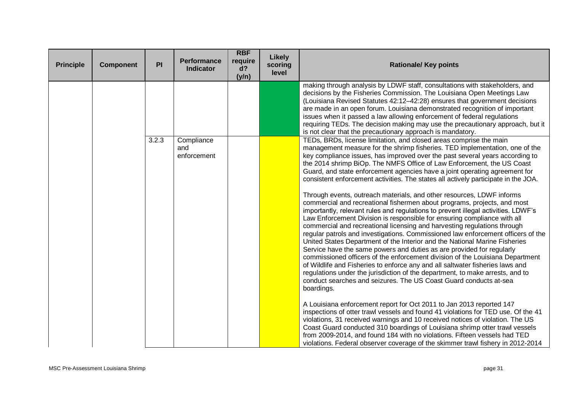| <b>Principle</b> | <b>Component</b> | PI    | <b>Performance</b><br><b>Indicator</b> | <b>RBF</b><br>require<br>d?<br>(y/n) | <b>Likely</b><br>scoring<br>level | <b>Rationale/ Key points</b>                                                                                                                                                                                                                                                                                                                                                                                                                                                                                                                                                                                                                                                                                                                                                                                                                                                                                                                                                                                                                                                                                                                                                                                                                                                                                                                                                                                                                                       |
|------------------|------------------|-------|----------------------------------------|--------------------------------------|-----------------------------------|--------------------------------------------------------------------------------------------------------------------------------------------------------------------------------------------------------------------------------------------------------------------------------------------------------------------------------------------------------------------------------------------------------------------------------------------------------------------------------------------------------------------------------------------------------------------------------------------------------------------------------------------------------------------------------------------------------------------------------------------------------------------------------------------------------------------------------------------------------------------------------------------------------------------------------------------------------------------------------------------------------------------------------------------------------------------------------------------------------------------------------------------------------------------------------------------------------------------------------------------------------------------------------------------------------------------------------------------------------------------------------------------------------------------------------------------------------------------|
|                  |                  |       |                                        |                                      |                                   | making through analysis by LDWF staff, consultations with stakeholders, and<br>decisions by the Fisheries Commission. The Louisiana Open Meetings Law<br>(Louisiana Revised Statutes 42:12-42:28) ensures that government decisions<br>are made in an open forum. Louisiana demonstrated recognition of important<br>issues when it passed a law allowing enforcement of federal regulations<br>requiring TEDs. The decision making may use the precautionary approach, but it<br>is not clear that the precautionary approach is mandatory.                                                                                                                                                                                                                                                                                                                                                                                                                                                                                                                                                                                                                                                                                                                                                                                                                                                                                                                       |
|                  |                  | 3.2.3 | Compliance<br>and<br>enforcement       |                                      |                                   | TEDs, BRDs, license limitation, and closed areas comprise the main<br>management measure for the shrimp fisheries. TED implementation, one of the<br>key compliance issues, has improved over the past several years according to<br>the 2014 shrimp BiOp. The NMFS Office of Law Enforcement, the US Coast<br>Guard, and state enforcement agencies have a joint operating agreement for<br>consistent enforcement activities. The states all actively participate in the JOA.<br>Through events, outreach materials, and other resources, LDWF informs<br>commercial and recreational fishermen about programs, projects, and most<br>importantly, relevant rules and regulations to prevent illegal activities. LDWF's<br>Law Enforcement Division is responsible for ensuring compliance with all<br>commercial and recreational licensing and harvesting regulations through<br>regular patrols and investigations. Commissioned law enforcement officers of the<br>United States Department of the Interior and the National Marine Fisheries<br>Service have the same powers and duties as are provided for regularly<br>commissioned officers of the enforcement division of the Louisiana Department<br>of Wildlife and Fisheries to enforce any and all saltwater fisheries laws and<br>regulations under the jurisdiction of the department, to make arrests, and to<br>conduct searches and seizures. The US Coast Guard conducts at-sea<br>boardings. |
|                  |                  |       |                                        |                                      |                                   | A Louisiana enforcement report for Oct 2011 to Jan 2013 reported 147<br>inspections of otter trawl vessels and found 41 violations for TED use. Of the 41<br>violations, 31 received warnings and 10 received notices of violation. The US<br>Coast Guard conducted 310 boardings of Louisiana shrimp otter trawl vessels<br>from 2009-2014, and found 184 with no violations. Fifteen vessels had TED<br>violations. Federal observer coverage of the skimmer trawl fishery in 2012-2014                                                                                                                                                                                                                                                                                                                                                                                                                                                                                                                                                                                                                                                                                                                                                                                                                                                                                                                                                                          |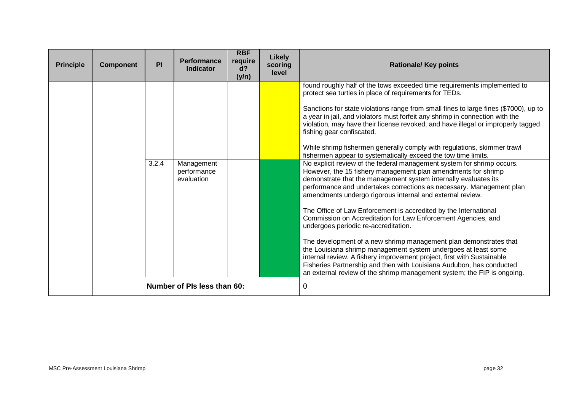| <b>Principle</b> | <b>Component</b> | PI    | <b>Performance</b><br><b>Indicator</b>  | <b>RBF</b><br>require<br>d?<br>(y/n) | Likely<br>scoring<br>level | <b>Rationale/ Key points</b>                                                                                                                                                                                                                                                                                                                                                                                                                                                                                                                                                                                                                                                                                                                                                                                                                                                                                                                                                                                                                                                                                                                                                                                                                                                                                                                                                                      |
|------------------|------------------|-------|-----------------------------------------|--------------------------------------|----------------------------|---------------------------------------------------------------------------------------------------------------------------------------------------------------------------------------------------------------------------------------------------------------------------------------------------------------------------------------------------------------------------------------------------------------------------------------------------------------------------------------------------------------------------------------------------------------------------------------------------------------------------------------------------------------------------------------------------------------------------------------------------------------------------------------------------------------------------------------------------------------------------------------------------------------------------------------------------------------------------------------------------------------------------------------------------------------------------------------------------------------------------------------------------------------------------------------------------------------------------------------------------------------------------------------------------------------------------------------------------------------------------------------------------|
|                  |                  | 3.2.4 | Management<br>performance<br>evaluation |                                      |                            | found roughly half of the tows exceeded time requirements implemented to<br>protect sea turtles in place of requirements for TEDs.<br>Sanctions for state violations range from small fines to large fines (\$7000), up to<br>a year in jail, and violators must forfeit any shrimp in connection with the<br>violation, may have their license revoked, and have illegal or improperly tagged<br>fishing gear confiscated.<br>While shrimp fishermen generally comply with regulations, skimmer trawl<br>fishermen appear to systematically exceed the tow time limits.<br>No explicit review of the federal management system for shrimp occurs.<br>However, the 15 fishery management plan amendments for shrimp<br>demonstrate that the management system internally evaluates its<br>performance and undertakes corrections as necessary. Management plan<br>amendments undergo rigorous internal and external review.<br>The Office of Law Enforcement is accredited by the International<br>Commission on Accreditation for Law Enforcement Agencies, and<br>undergoes periodic re-accreditation.<br>The development of a new shrimp management plan demonstrates that<br>the Louisiana shrimp management system undergoes at least some<br>internal review. A fishery improvement project, first with Sustainable<br>Fisheries Partnership and then with Louisiana Audubon, has conducted |
|                  |                  |       | Number of PIs less than 60:             |                                      |                            | an external review of the shrimp management system; the FIP is ongoing.<br>0                                                                                                                                                                                                                                                                                                                                                                                                                                                                                                                                                                                                                                                                                                                                                                                                                                                                                                                                                                                                                                                                                                                                                                                                                                                                                                                      |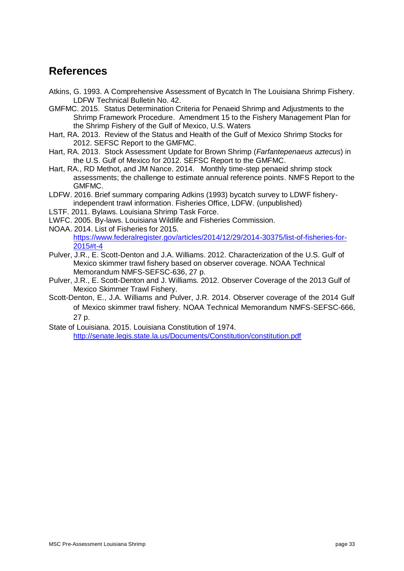# <span id="page-33-0"></span>**References**

- Atkins, G. 1993. A Comprehensive Assessment of Bycatch In The Louisiana Shrimp Fishery. LDFW Technical Bulletin No. 42.
- GMFMC. 2015. Status Determination Criteria for Penaeid Shrimp and Adjustments to the Shrimp Framework Procedure. Amendment 15 to the Fishery Management Plan for the Shrimp Fishery of the Gulf of Mexico, U.S. Waters
- Hart, RA. 2013. Review of the Status and Health of the Gulf of Mexico Shrimp Stocks for 2012. SEFSC Report to the GMFMC.
- Hart, RA. 2013. Stock Assessment Update for Brown Shrimp (*Farfantepenaeus aztecus*) in the U.S. Gulf of Mexico for 2012. SEFSC Report to the GMFMC.
- Hart, RA., RD Methot, and JM Nance. 2014. Monthly time-step penaeid shrimp stock assessments; the challenge to estimate annual reference points. NMFS Report to the GMFMC.
- LDFW. 2016. Brief summary comparing Adkins (1993) bycatch survey to LDWF fisheryindependent trawl information. Fisheries Office, LDFW. (unpublished)
- LSTF. 2011. Bylaws. Louisiana Shrimp Task Force.
- LWFC. 2005. By-laws. Louisiana Wildlife and Fisheries Commission.
- NOAA. 2014. List of Fisheries for 2015. [https://www.federalregister.gov/articles/2014/12/29/2014-30375/list-of-fisheries-for-](https://www.federalregister.gov/articles/2014/12/29/2014-30375/list-of-fisheries-for-2015#t-4)[2015#t-4](https://www.federalregister.gov/articles/2014/12/29/2014-30375/list-of-fisheries-for-2015#t-4)
- Pulver, J.R., E. Scott-Denton and J.A. Williams. 2012. Characterization of the U.S. Gulf of Mexico skimmer trawl fishery based on observer coverage. NOAA Technical Memorandum NMFS-SEFSC-636, 27 p.
- Pulver, J.R., E. Scott-Denton and J. Williams. 2012. Observer Coverage of the 2013 Gulf of Mexico Skimmer Trawl Fishery.
- Scott-Denton, E., J.A. Williams and Pulver, J.R. 2014. Observer coverage of the 2014 Gulf of Mexico skimmer trawl fishery. NOAA Technical Memorandum NMFS-SEFSC-666, 27 p.
- State of Louisiana. 2015. Louisiana Constitution of 1974. <http://senate.legis.state.la.us/Documents/Constitution/constitution.pdf>